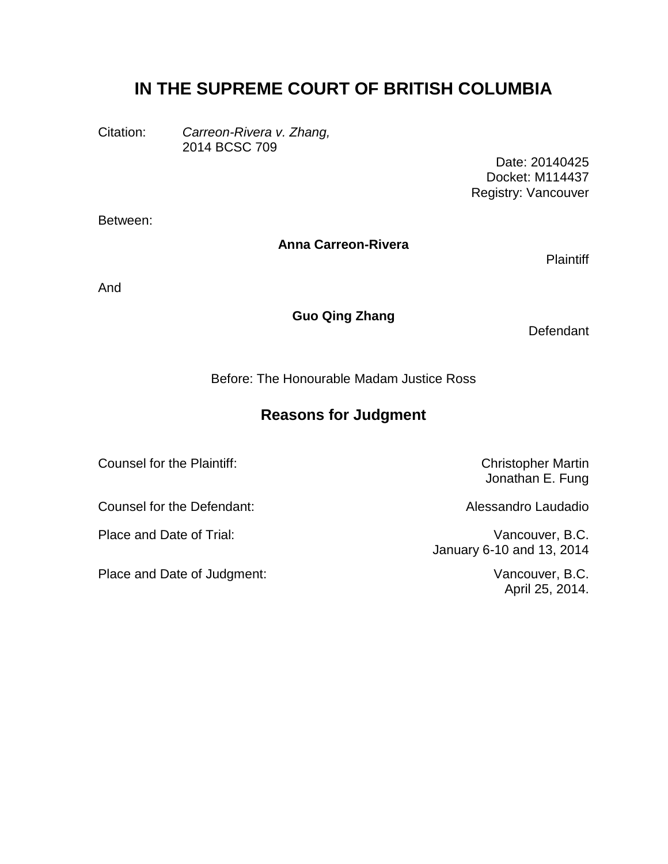# **IN THE SUPREME COURT OF BRITISH COLUMBIA**

Citation: *Carreon-Rivera v. Zhang,* 2014 BCSC 709

> Date: 20140425 Docket: M114437 Registry: Vancouver

Between:

#### **Anna Carreon-Rivera**

**Plaintiff** 

And

#### **Guo Qing Zhang**

**Defendant** 

Before: The Honourable Madam Justice Ross

# **Reasons for Judgment**

Counsel for the Plaintiff: Counsel for the Plaintiff:

Counsel for the Defendant: Alessandro Laudadio

Place and Date of Judgment: Vancouver, B.C.

Jonathan E. Fung

Place and Date of Trial: Vancouver, B.C. January 6-10 and 13, 2014

April 25, 2014.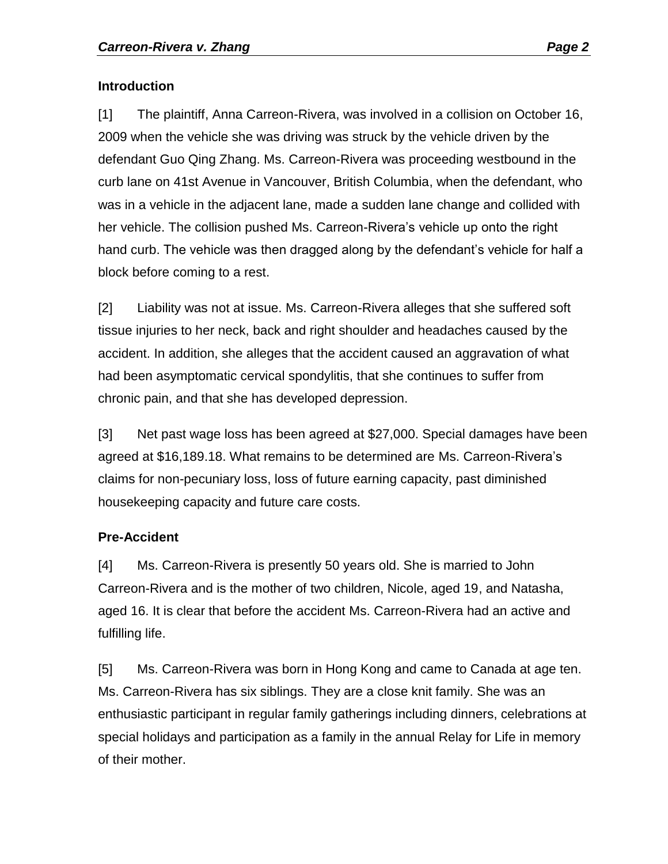#### **Introduction**

[1] The plaintiff, Anna Carreon-Rivera, was involved in a collision on October 16, 2009 when the vehicle she was driving was struck by the vehicle driven by the defendant Guo Qing Zhang. Ms. Carreon-Rivera was proceeding westbound in the curb lane on 41st Avenue in Vancouver, British Columbia, when the defendant, who was in a vehicle in the adjacent lane, made a sudden lane change and collided with her vehicle. The collision pushed Ms. Carreon-Rivera's vehicle up onto the right hand curb. The vehicle was then dragged along by the defendant's vehicle for half a block before coming to a rest.

[2] Liability was not at issue. Ms. Carreon-Rivera alleges that she suffered soft tissue injuries to her neck, back and right shoulder and headaches caused by the accident. In addition, she alleges that the accident caused an aggravation of what had been asymptomatic cervical spondylitis, that she continues to suffer from chronic pain, and that she has developed depression.

[3] Net past wage loss has been agreed at \$27,000. Special damages have been agreed at \$16,189.18. What remains to be determined are Ms. Carreon-Rivera's claims for non-pecuniary loss, loss of future earning capacity, past diminished housekeeping capacity and future care costs.

### **Pre-Accident**

[4] Ms. Carreon-Rivera is presently 50 years old. She is married to John Carreon-Rivera and is the mother of two children, Nicole, aged 19, and Natasha, aged 16. It is clear that before the accident Ms. Carreon-Rivera had an active and fulfilling life.

[5] Ms. Carreon-Rivera was born in Hong Kong and came to Canada at age ten. Ms. Carreon-Rivera has six siblings. They are a close knit family. She was an enthusiastic participant in regular family gatherings including dinners, celebrations at special holidays and participation as a family in the annual Relay for Life in memory of their mother.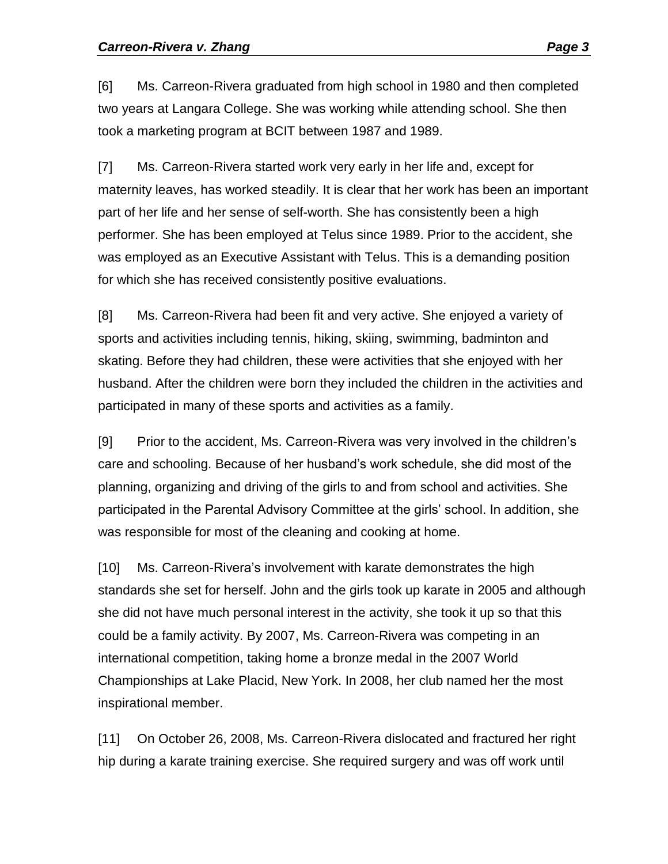[6] Ms. Carreon-Rivera graduated from high school in 1980 and then completed two years at Langara College. She was working while attending school. She then took a marketing program at BCIT between 1987 and 1989.

[7] Ms. Carreon-Rivera started work very early in her life and, except for maternity leaves, has worked steadily. It is clear that her work has been an important part of her life and her sense of self-worth. She has consistently been a high performer. She has been employed at Telus since 1989. Prior to the accident, she was employed as an Executive Assistant with Telus. This is a demanding position for which she has received consistently positive evaluations.

[8] Ms. Carreon-Rivera had been fit and very active. She enjoyed a variety of sports and activities including tennis, hiking, skiing, swimming, badminton and skating. Before they had children, these were activities that she enjoyed with her husband. After the children were born they included the children in the activities and participated in many of these sports and activities as a family.

[9] Prior to the accident, Ms. Carreon-Rivera was very involved in the children's care and schooling. Because of her husband's work schedule, she did most of the planning, organizing and driving of the girls to and from school and activities. She participated in the Parental Advisory Committee at the girls' school. In addition, she was responsible for most of the cleaning and cooking at home.

[10] Ms. Carreon-Rivera's involvement with karate demonstrates the high standards she set for herself. John and the girls took up karate in 2005 and although she did not have much personal interest in the activity, she took it up so that this could be a family activity. By 2007, Ms. Carreon-Rivera was competing in an international competition, taking home a bronze medal in the 2007 World Championships at Lake Placid, New York. In 2008, her club named her the most inspirational member.

[11] On October 26, 2008, Ms. Carreon-Rivera dislocated and fractured her right hip during a karate training exercise. She required surgery and was off work until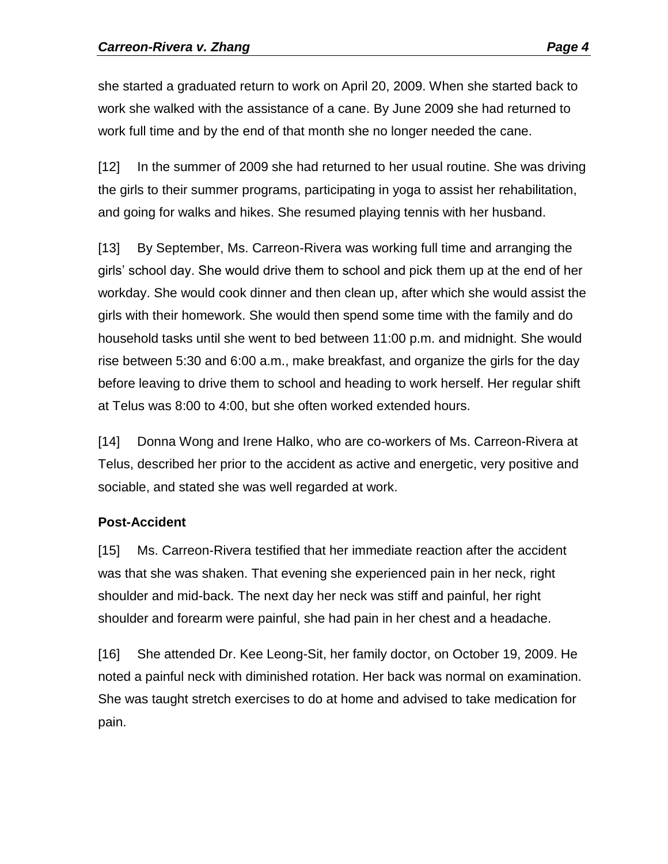she started a graduated return to work on April 20, 2009. When she started back to work she walked with the assistance of a cane. By June 2009 she had returned to work full time and by the end of that month she no longer needed the cane.

[12] In the summer of 2009 she had returned to her usual routine. She was driving the girls to their summer programs, participating in yoga to assist her rehabilitation, and going for walks and hikes. She resumed playing tennis with her husband.

[13] By September, Ms. Carreon-Rivera was working full time and arranging the girls' school day. She would drive them to school and pick them up at the end of her workday. She would cook dinner and then clean up, after which she would assist the girls with their homework. She would then spend some time with the family and do household tasks until she went to bed between 11:00 p.m. and midnight. She would rise between 5:30 and 6:00 a.m., make breakfast, and organize the girls for the day before leaving to drive them to school and heading to work herself. Her regular shift at Telus was 8:00 to 4:00, but she often worked extended hours.

[14] Donna Wong and Irene Halko, who are co-workers of Ms. Carreon-Rivera at Telus, described her prior to the accident as active and energetic, very positive and sociable, and stated she was well regarded at work.

# **Post-Accident**

[15] Ms. Carreon-Rivera testified that her immediate reaction after the accident was that she was shaken. That evening she experienced pain in her neck, right shoulder and mid-back. The next day her neck was stiff and painful, her right shoulder and forearm were painful, she had pain in her chest and a headache.

[16] She attended Dr. Kee Leong-Sit, her family doctor, on October 19, 2009. He noted a painful neck with diminished rotation. Her back was normal on examination. She was taught stretch exercises to do at home and advised to take medication for pain.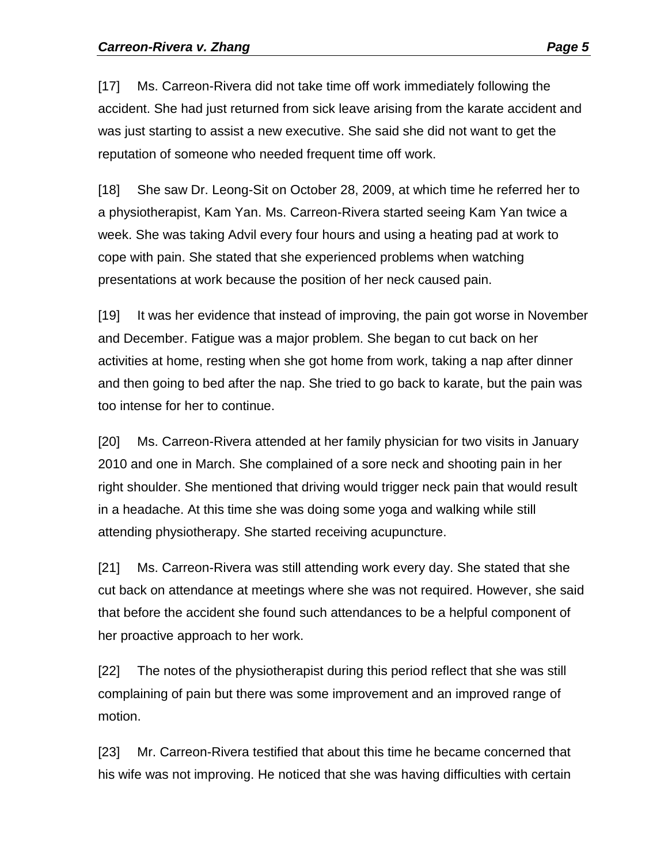[17] Ms. Carreon-Rivera did not take time off work immediately following the accident. She had just returned from sick leave arising from the karate accident and was just starting to assist a new executive. She said she did not want to get the reputation of someone who needed frequent time off work.

[18] She saw Dr. Leong-Sit on October 28, 2009, at which time he referred her to a physiotherapist, Kam Yan. Ms. Carreon-Rivera started seeing Kam Yan twice a week. She was taking Advil every four hours and using a heating pad at work to cope with pain. She stated that she experienced problems when watching presentations at work because the position of her neck caused pain.

[19] It was her evidence that instead of improving, the pain got worse in November and December. Fatigue was a major problem. She began to cut back on her activities at home, resting when she got home from work, taking a nap after dinner and then going to bed after the nap. She tried to go back to karate, but the pain was too intense for her to continue.

[20] Ms. Carreon-Rivera attended at her family physician for two visits in January 2010 and one in March. She complained of a sore neck and shooting pain in her right shoulder. She mentioned that driving would trigger neck pain that would result in a headache. At this time she was doing some yoga and walking while still attending physiotherapy. She started receiving acupuncture.

[21] Ms. Carreon-Rivera was still attending work every day. She stated that she cut back on attendance at meetings where she was not required. However, she said that before the accident she found such attendances to be a helpful component of her proactive approach to her work.

[22] The notes of the physiotherapist during this period reflect that she was still complaining of pain but there was some improvement and an improved range of motion.

[23] Mr. Carreon-Rivera testified that about this time he became concerned that his wife was not improving. He noticed that she was having difficulties with certain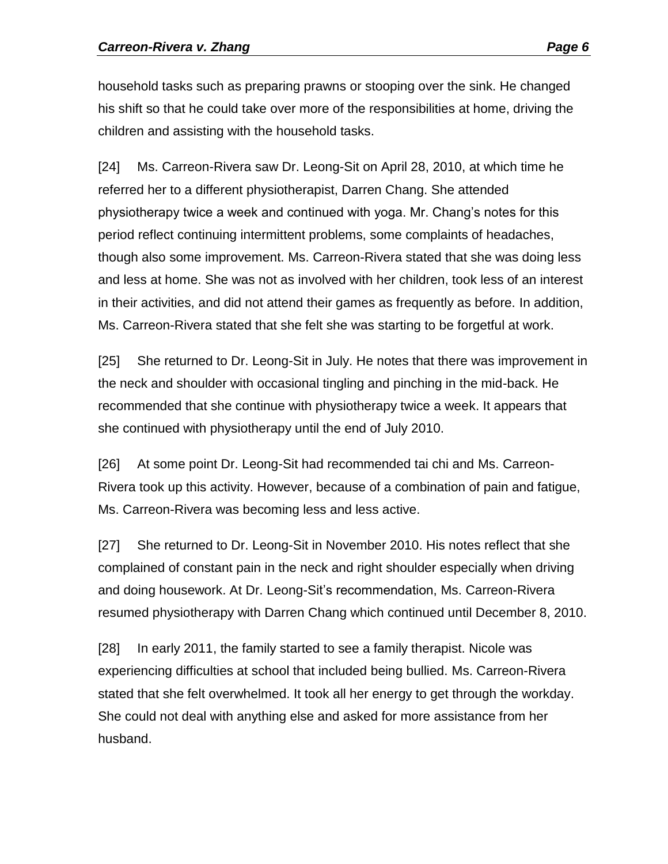household tasks such as preparing prawns or stooping over the sink. He changed his shift so that he could take over more of the responsibilities at home, driving the children and assisting with the household tasks.

[24] Ms. Carreon-Rivera saw Dr. Leong-Sit on April 28, 2010, at which time he referred her to a different physiotherapist, Darren Chang. She attended physiotherapy twice a week and continued with yoga. Mr. Chang's notes for this period reflect continuing intermittent problems, some complaints of headaches, though also some improvement. Ms. Carreon-Rivera stated that she was doing less and less at home. She was not as involved with her children, took less of an interest in their activities, and did not attend their games as frequently as before. In addition, Ms. Carreon-Rivera stated that she felt she was starting to be forgetful at work.

[25] She returned to Dr. Leong-Sit in July. He notes that there was improvement in the neck and shoulder with occasional tingling and pinching in the mid-back. He recommended that she continue with physiotherapy twice a week. It appears that she continued with physiotherapy until the end of July 2010.

[26] At some point Dr. Leong-Sit had recommended tai chi and Ms. Carreon-Rivera took up this activity. However, because of a combination of pain and fatigue, Ms. Carreon-Rivera was becoming less and less active.

[27] She returned to Dr. Leong-Sit in November 2010. His notes reflect that she complained of constant pain in the neck and right shoulder especially when driving and doing housework. At Dr. Leong-Sit's recommendation, Ms. Carreon-Rivera resumed physiotherapy with Darren Chang which continued until December 8, 2010.

[28] In early 2011, the family started to see a family therapist. Nicole was experiencing difficulties at school that included being bullied. Ms. Carreon-Rivera stated that she felt overwhelmed. It took all her energy to get through the workday. She could not deal with anything else and asked for more assistance from her husband.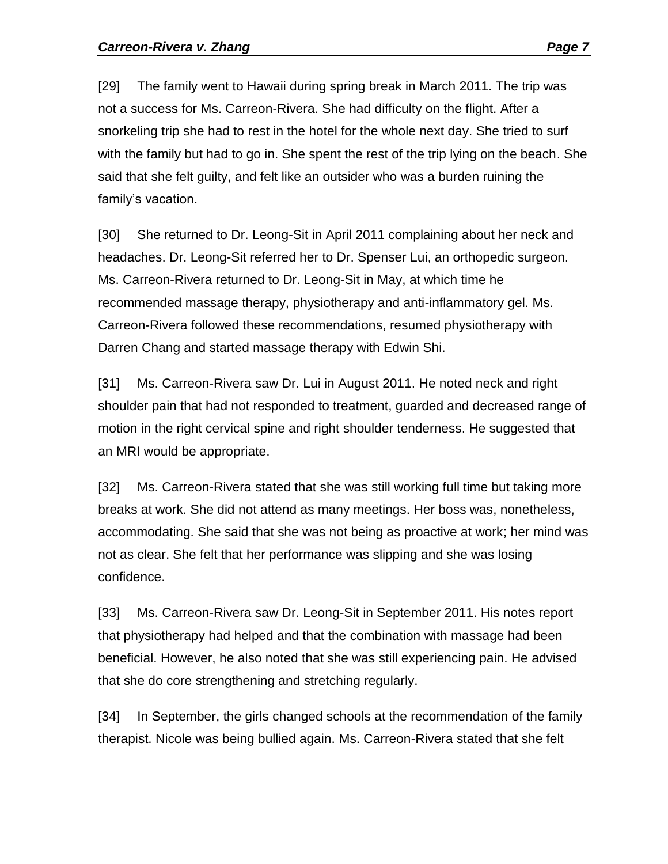[29] The family went to Hawaii during spring break in March 2011. The trip was not a success for Ms. Carreon-Rivera. She had difficulty on the flight. After a snorkeling trip she had to rest in the hotel for the whole next day. She tried to surf with the family but had to go in. She spent the rest of the trip lying on the beach. She said that she felt guilty, and felt like an outsider who was a burden ruining the family's vacation.

[30] She returned to Dr. Leong-Sit in April 2011 complaining about her neck and headaches. Dr. Leong-Sit referred her to Dr. Spenser Lui, an orthopedic surgeon. Ms. Carreon-Rivera returned to Dr. Leong-Sit in May, at which time he recommended massage therapy, physiotherapy and anti-inflammatory gel. Ms. Carreon-Rivera followed these recommendations, resumed physiotherapy with Darren Chang and started massage therapy with Edwin Shi.

[31] Ms. Carreon-Rivera saw Dr. Lui in August 2011. He noted neck and right shoulder pain that had not responded to treatment, guarded and decreased range of motion in the right cervical spine and right shoulder tenderness. He suggested that an MRI would be appropriate.

[32] Ms. Carreon-Rivera stated that she was still working full time but taking more breaks at work. She did not attend as many meetings. Her boss was, nonetheless, accommodating. She said that she was not being as proactive at work; her mind was not as clear. She felt that her performance was slipping and she was losing confidence.

[33] Ms. Carreon-Rivera saw Dr. Leong-Sit in September 2011. His notes report that physiotherapy had helped and that the combination with massage had been beneficial. However, he also noted that she was still experiencing pain. He advised that she do core strengthening and stretching regularly.

[34] In September, the girls changed schools at the recommendation of the family therapist. Nicole was being bullied again. Ms. Carreon-Rivera stated that she felt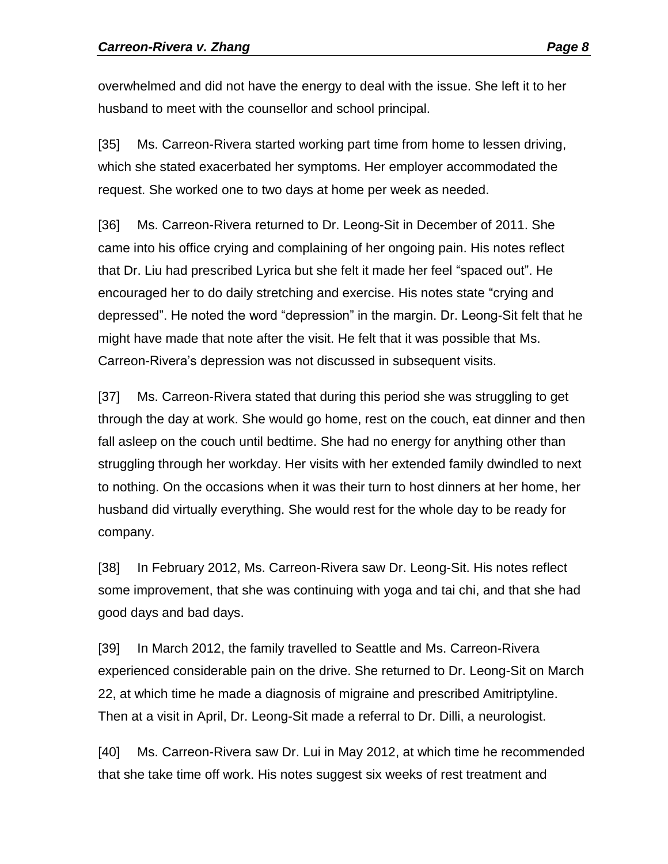overwhelmed and did not have the energy to deal with the issue. She left it to her husband to meet with the counsellor and school principal.

[35] Ms. Carreon-Rivera started working part time from home to lessen driving, which she stated exacerbated her symptoms. Her employer accommodated the request. She worked one to two days at home per week as needed.

[36] Ms. Carreon-Rivera returned to Dr. Leong-Sit in December of 2011. She came into his office crying and complaining of her ongoing pain. His notes reflect that Dr. Liu had prescribed Lyrica but she felt it made her feel "spaced out". He encouraged her to do daily stretching and exercise. His notes state "crying and depressed". He noted the word "depression" in the margin. Dr. Leong-Sit felt that he might have made that note after the visit. He felt that it was possible that Ms. Carreon-Rivera's depression was not discussed in subsequent visits.

[37] Ms. Carreon-Rivera stated that during this period she was struggling to get through the day at work. She would go home, rest on the couch, eat dinner and then fall asleep on the couch until bedtime. She had no energy for anything other than struggling through her workday. Her visits with her extended family dwindled to next to nothing. On the occasions when it was their turn to host dinners at her home, her husband did virtually everything. She would rest for the whole day to be ready for company.

[38] In February 2012, Ms. Carreon-Rivera saw Dr. Leong-Sit. His notes reflect some improvement, that she was continuing with yoga and tai chi, and that she had good days and bad days.

[39] In March 2012, the family travelled to Seattle and Ms. Carreon-Rivera experienced considerable pain on the drive. She returned to Dr. Leong-Sit on March 22, at which time he made a diagnosis of migraine and prescribed Amitriptyline. Then at a visit in April, Dr. Leong-Sit made a referral to Dr. Dilli, a neurologist.

[40] Ms. Carreon-Rivera saw Dr. Lui in May 2012, at which time he recommended that she take time off work. His notes suggest six weeks of rest treatment and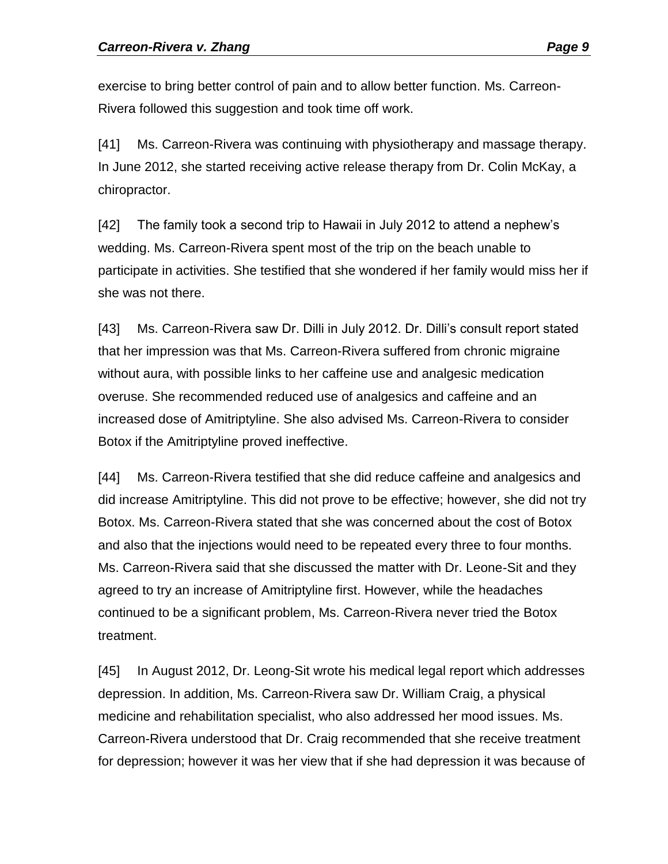exercise to bring better control of pain and to allow better function. Ms. Carreon-Rivera followed this suggestion and took time off work.

[41] Ms. Carreon-Rivera was continuing with physiotherapy and massage therapy. In June 2012, she started receiving active release therapy from Dr. Colin McKay, a chiropractor.

[42] The family took a second trip to Hawaii in July 2012 to attend a nephew's wedding. Ms. Carreon-Rivera spent most of the trip on the beach unable to participate in activities. She testified that she wondered if her family would miss her if she was not there.

[43] Ms. Carreon-Rivera saw Dr. Dilli in July 2012. Dr. Dilli's consult report stated that her impression was that Ms. Carreon-Rivera suffered from chronic migraine without aura, with possible links to her caffeine use and analgesic medication overuse. She recommended reduced use of analgesics and caffeine and an increased dose of Amitriptyline. She also advised Ms. Carreon-Rivera to consider Botox if the Amitriptyline proved ineffective.

[44] Ms. Carreon-Rivera testified that she did reduce caffeine and analgesics and did increase Amitriptyline. This did not prove to be effective; however, she did not try Botox. Ms. Carreon-Rivera stated that she was concerned about the cost of Botox and also that the injections would need to be repeated every three to four months. Ms. Carreon-Rivera said that she discussed the matter with Dr. Leone-Sit and they agreed to try an increase of Amitriptyline first. However, while the headaches continued to be a significant problem, Ms. Carreon-Rivera never tried the Botox treatment.

[45] In August 2012, Dr. Leong-Sit wrote his medical legal report which addresses depression. In addition, Ms. Carreon-Rivera saw Dr. William Craig, a physical medicine and rehabilitation specialist, who also addressed her mood issues. Ms. Carreon-Rivera understood that Dr. Craig recommended that she receive treatment for depression; however it was her view that if she had depression it was because of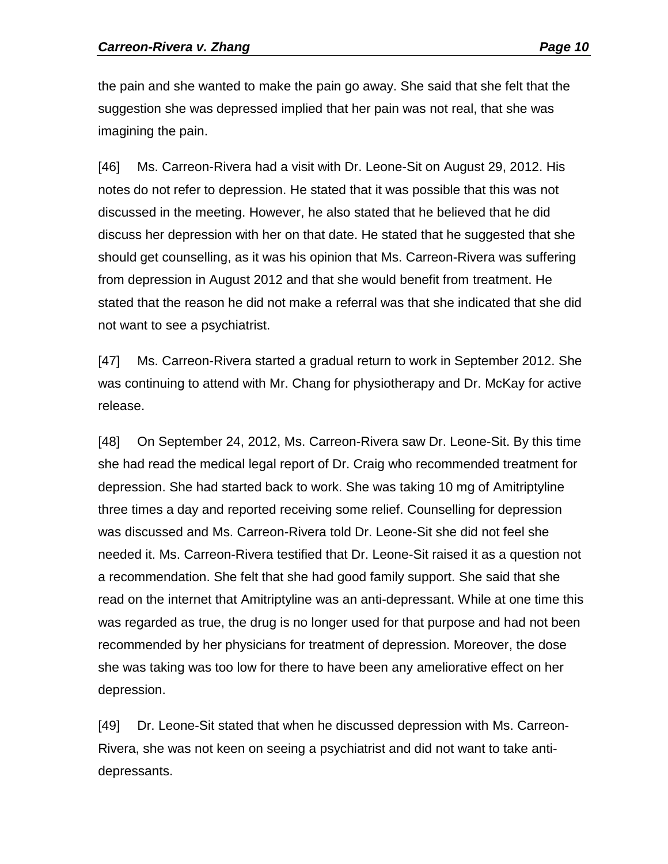the pain and she wanted to make the pain go away. She said that she felt that the suggestion she was depressed implied that her pain was not real, that she was imagining the pain.

[46] Ms. Carreon-Rivera had a visit with Dr. Leone-Sit on August 29, 2012. His notes do not refer to depression. He stated that it was possible that this was not discussed in the meeting. However, he also stated that he believed that he did discuss her depression with her on that date. He stated that he suggested that she should get counselling, as it was his opinion that Ms. Carreon-Rivera was suffering from depression in August 2012 and that she would benefit from treatment. He stated that the reason he did not make a referral was that she indicated that she did not want to see a psychiatrist.

[47] Ms. Carreon-Rivera started a gradual return to work in September 2012. She was continuing to attend with Mr. Chang for physiotherapy and Dr. McKay for active release.

[48] On September 24, 2012, Ms. Carreon-Rivera saw Dr. Leone-Sit. By this time she had read the medical legal report of Dr. Craig who recommended treatment for depression. She had started back to work. She was taking 10 mg of Amitriptyline three times a day and reported receiving some relief. Counselling for depression was discussed and Ms. Carreon-Rivera told Dr. Leone-Sit she did not feel she needed it. Ms. Carreon-Rivera testified that Dr. Leone-Sit raised it as a question not a recommendation. She felt that she had good family support. She said that she read on the internet that Amitriptyline was an anti-depressant. While at one time this was regarded as true, the drug is no longer used for that purpose and had not been recommended by her physicians for treatment of depression. Moreover, the dose she was taking was too low for there to have been any ameliorative effect on her depression.

[49] Dr. Leone-Sit stated that when he discussed depression with Ms. Carreon-Rivera, she was not keen on seeing a psychiatrist and did not want to take antidepressants.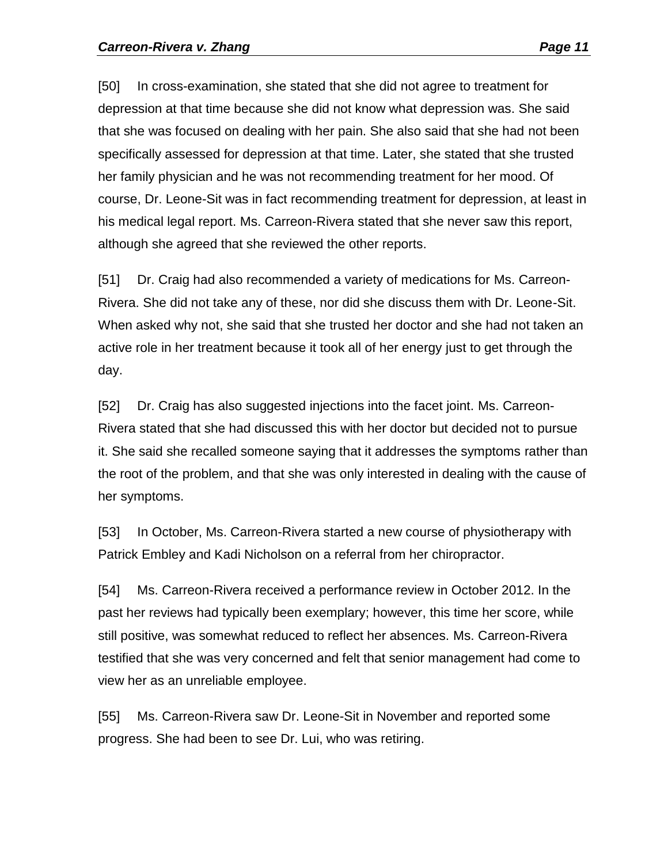[50] In cross-examination, she stated that she did not agree to treatment for depression at that time because she did not know what depression was. She said that she was focused on dealing with her pain. She also said that she had not been specifically assessed for depression at that time. Later, she stated that she trusted her family physician and he was not recommending treatment for her mood. Of course, Dr. Leone-Sit was in fact recommending treatment for depression, at least in his medical legal report. Ms. Carreon-Rivera stated that she never saw this report, although she agreed that she reviewed the other reports.

[51] Dr. Craig had also recommended a variety of medications for Ms. Carreon-Rivera. She did not take any of these, nor did she discuss them with Dr. Leone-Sit. When asked why not, she said that she trusted her doctor and she had not taken an active role in her treatment because it took all of her energy just to get through the day.

[52] Dr. Craig has also suggested injections into the facet joint. Ms. Carreon-Rivera stated that she had discussed this with her doctor but decided not to pursue it. She said she recalled someone saying that it addresses the symptoms rather than the root of the problem, and that she was only interested in dealing with the cause of her symptoms.

[53] In October, Ms. Carreon-Rivera started a new course of physiotherapy with Patrick Embley and Kadi Nicholson on a referral from her chiropractor.

[54] Ms. Carreon-Rivera received a performance review in October 2012. In the past her reviews had typically been exemplary; however, this time her score, while still positive, was somewhat reduced to reflect her absences. Ms. Carreon-Rivera testified that she was very concerned and felt that senior management had come to view her as an unreliable employee.

[55] Ms. Carreon-Rivera saw Dr. Leone-Sit in November and reported some progress. She had been to see Dr. Lui, who was retiring.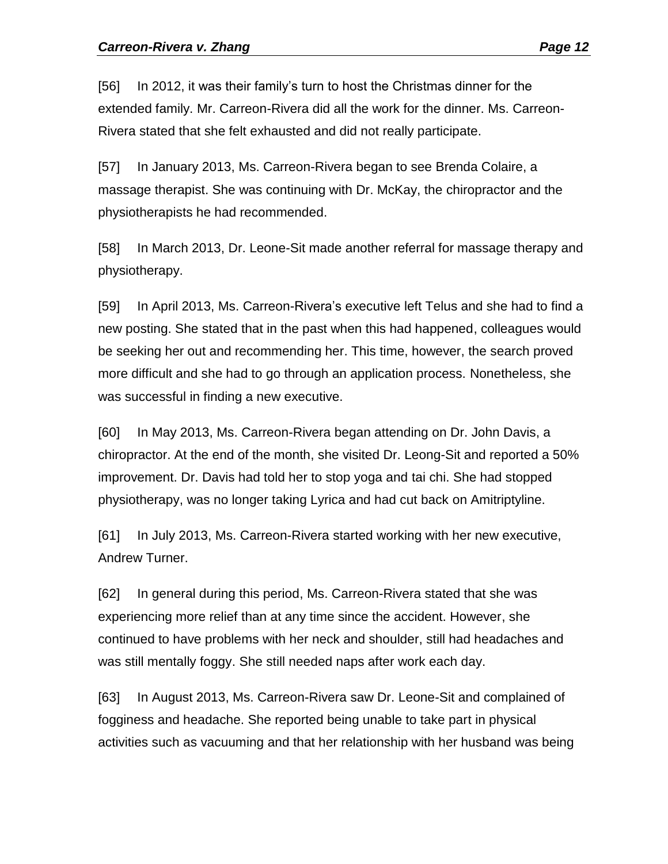[56] In 2012, it was their family's turn to host the Christmas dinner for the extended family. Mr. Carreon-Rivera did all the work for the dinner. Ms. Carreon-Rivera stated that she felt exhausted and did not really participate.

[57] In January 2013, Ms. Carreon-Rivera began to see Brenda Colaire, a massage therapist. She was continuing with Dr. McKay, the chiropractor and the physiotherapists he had recommended.

[58] In March 2013, Dr. Leone-Sit made another referral for massage therapy and physiotherapy.

[59] In April 2013, Ms. Carreon-Rivera's executive left Telus and she had to find a new posting. She stated that in the past when this had happened, colleagues would be seeking her out and recommending her. This time, however, the search proved more difficult and she had to go through an application process. Nonetheless, she was successful in finding a new executive.

[60] In May 2013, Ms. Carreon-Rivera began attending on Dr. John Davis, a chiropractor. At the end of the month, she visited Dr. Leong-Sit and reported a 50% improvement. Dr. Davis had told her to stop yoga and tai chi. She had stopped physiotherapy, was no longer taking Lyrica and had cut back on Amitriptyline.

[61] In July 2013, Ms. Carreon-Rivera started working with her new executive, Andrew Turner.

[62] In general during this period, Ms. Carreon-Rivera stated that she was experiencing more relief than at any time since the accident. However, she continued to have problems with her neck and shoulder, still had headaches and was still mentally foggy. She still needed naps after work each day.

[63] In August 2013, Ms. Carreon-Rivera saw Dr. Leone-Sit and complained of fogginess and headache. She reported being unable to take part in physical activities such as vacuuming and that her relationship with her husband was being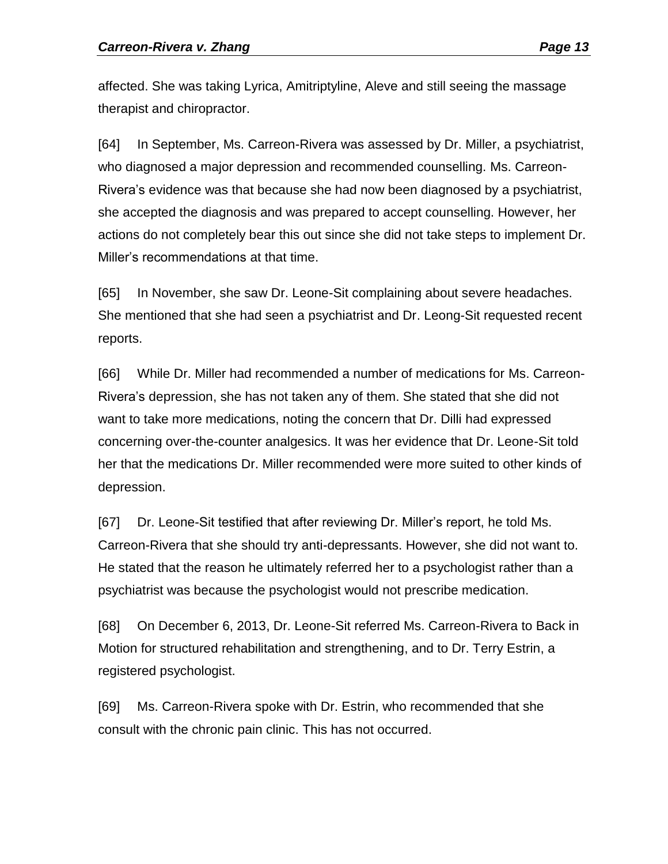affected. She was taking Lyrica, Amitriptyline, Aleve and still seeing the massage therapist and chiropractor.

[64] In September, Ms. Carreon-Rivera was assessed by Dr. Miller, a psychiatrist, who diagnosed a major depression and recommended counselling. Ms. Carreon-Rivera's evidence was that because she had now been diagnosed by a psychiatrist, she accepted the diagnosis and was prepared to accept counselling. However, her actions do not completely bear this out since she did not take steps to implement Dr. Miller's recommendations at that time.

[65] In November, she saw Dr. Leone-Sit complaining about severe headaches. She mentioned that she had seen a psychiatrist and Dr. Leong-Sit requested recent reports.

[66] While Dr. Miller had recommended a number of medications for Ms. Carreon-Rivera's depression, she has not taken any of them. She stated that she did not want to take more medications, noting the concern that Dr. Dilli had expressed concerning over-the-counter analgesics. It was her evidence that Dr. Leone-Sit told her that the medications Dr. Miller recommended were more suited to other kinds of depression.

[67] Dr. Leone-Sit testified that after reviewing Dr. Miller's report, he told Ms. Carreon-Rivera that she should try anti-depressants. However, she did not want to. He stated that the reason he ultimately referred her to a psychologist rather than a psychiatrist was because the psychologist would not prescribe medication.

[68] On December 6, 2013, Dr. Leone-Sit referred Ms. Carreon-Rivera to Back in Motion for structured rehabilitation and strengthening, and to Dr. Terry Estrin, a registered psychologist.

[69] Ms. Carreon-Rivera spoke with Dr. Estrin, who recommended that she consult with the chronic pain clinic. This has not occurred.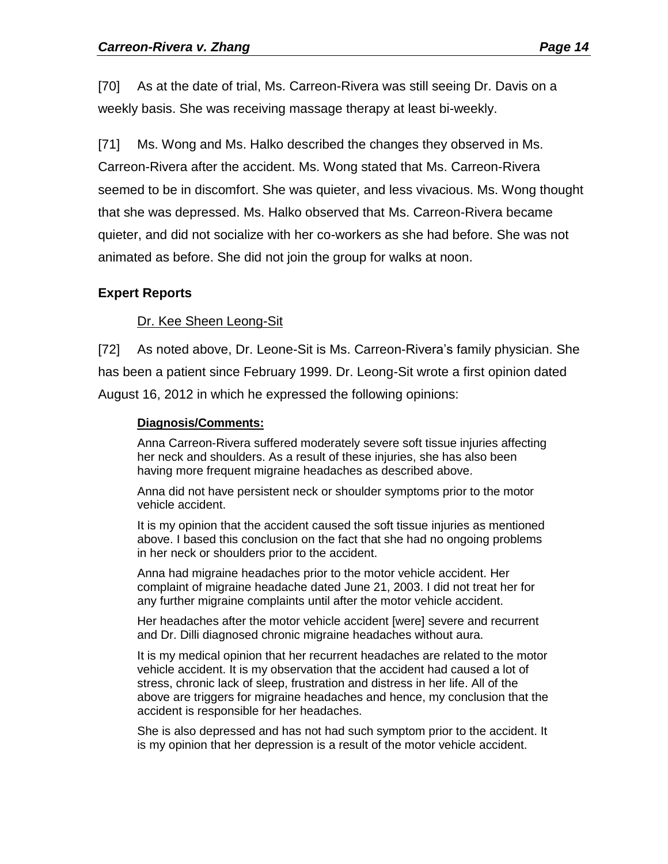[70] As at the date of trial, Ms. Carreon-Rivera was still seeing Dr. Davis on a weekly basis. She was receiving massage therapy at least bi-weekly.

[71] Ms. Wong and Ms. Halko described the changes they observed in Ms. Carreon-Rivera after the accident. Ms. Wong stated that Ms. Carreon-Rivera seemed to be in discomfort. She was quieter, and less vivacious. Ms. Wong thought that she was depressed. Ms. Halko observed that Ms. Carreon-Rivera became quieter, and did not socialize with her co-workers as she had before. She was not animated as before. She did not join the group for walks at noon.

#### **Expert Reports**

Dr. Kee Sheen Leong-Sit

[72] As noted above, Dr. Leone-Sit is Ms. Carreon-Rivera's family physician. She has been a patient since February 1999. Dr. Leong-Sit wrote a first opinion dated August 16, 2012 in which he expressed the following opinions:

#### **Diagnosis/Comments:**

Anna Carreon-Rivera suffered moderately severe soft tissue injuries affecting her neck and shoulders. As a result of these injuries, she has also been having more frequent migraine headaches as described above.

Anna did not have persistent neck or shoulder symptoms prior to the motor vehicle accident.

It is my opinion that the accident caused the soft tissue injuries as mentioned above. I based this conclusion on the fact that she had no ongoing problems in her neck or shoulders prior to the accident.

Anna had migraine headaches prior to the motor vehicle accident. Her complaint of migraine headache dated June 21, 2003. I did not treat her for any further migraine complaints until after the motor vehicle accident.

Her headaches after the motor vehicle accident [were] severe and recurrent and Dr. Dilli diagnosed chronic migraine headaches without aura.

It is my medical opinion that her recurrent headaches are related to the motor vehicle accident. It is my observation that the accident had caused a lot of stress, chronic lack of sleep, frustration and distress in her life. All of the above are triggers for migraine headaches and hence, my conclusion that the accident is responsible for her headaches.

She is also depressed and has not had such symptom prior to the accident. It is my opinion that her depression is a result of the motor vehicle accident.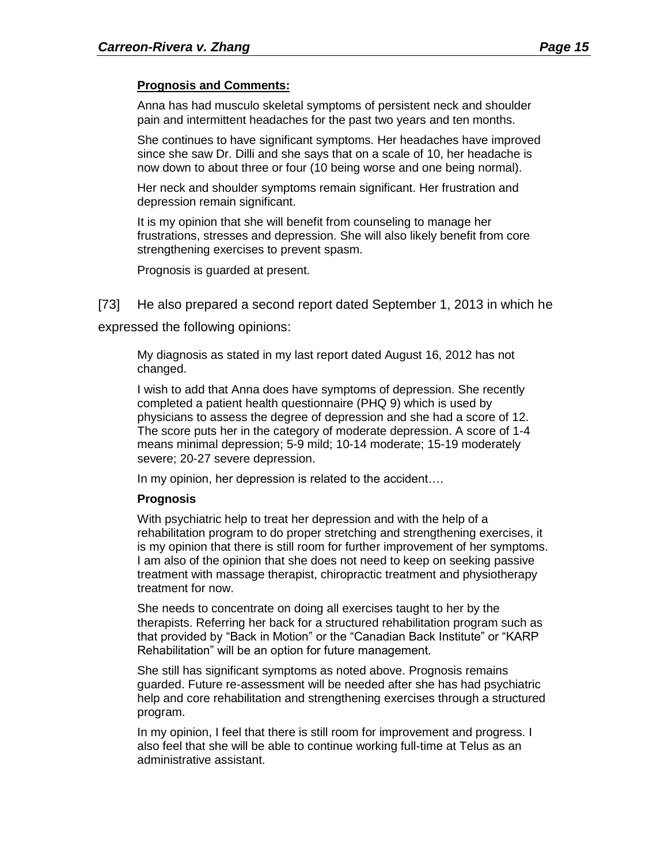#### **Prognosis and Comments:**

Anna has had musculo skeletal symptoms of persistent neck and shoulder pain and intermittent headaches for the past two years and ten months.

She continues to have significant symptoms. Her headaches have improved since she saw Dr. Dilli and she says that on a scale of 10, her headache is now down to about three or four (10 being worse and one being normal).

Her neck and shoulder symptoms remain significant. Her frustration and depression remain significant.

It is my opinion that she will benefit from counseling to manage her frustrations, stresses and depression. She will also likely benefit from core strengthening exercises to prevent spasm.

Prognosis is guarded at present.

[73] He also prepared a second report dated September 1, 2013 in which he

expressed the following opinions:

My diagnosis as stated in my last report dated August 16, 2012 has not changed.

I wish to add that Anna does have symptoms of depression. She recently completed a patient health questionnaire (PHQ 9) which is used by physicians to assess the degree of depression and she had a score of 12. The score puts her in the category of moderate depression. A score of 1-4 means minimal depression; 5-9 mild; 10-14 moderate; 15-19 moderately severe; 20-27 severe depression.

In my opinion, her depression is related to the accident….

#### **Prognosis**

With psychiatric help to treat her depression and with the help of a rehabilitation program to do proper stretching and strengthening exercises, it is my opinion that there is still room for further improvement of her symptoms. I am also of the opinion that she does not need to keep on seeking passive treatment with massage therapist, chiropractic treatment and physiotherapy treatment for now.

She needs to concentrate on doing all exercises taught to her by the therapists. Referring her back for a structured rehabilitation program such as that provided by "Back in Motion" or the "Canadian Back Institute" or "KARP Rehabilitation" will be an option for future management.

She still has significant symptoms as noted above. Prognosis remains guarded. Future re-assessment will be needed after she has had psychiatric help and core rehabilitation and strengthening exercises through a structured program.

In my opinion, I feel that there is still room for improvement and progress. I also feel that she will be able to continue working full-time at Telus as an administrative assistant.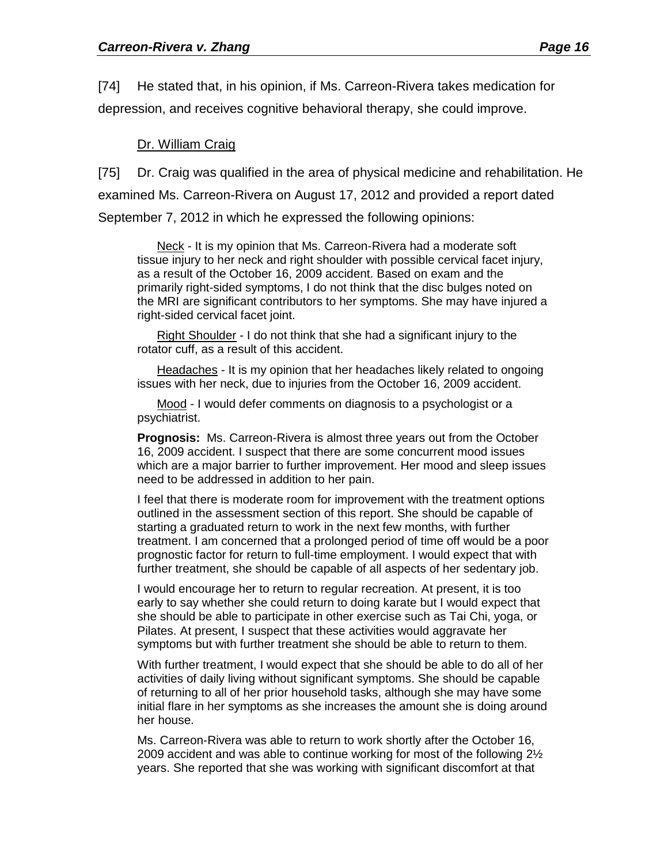[74] He stated that, in his opinion, if Ms. Carreon-Rivera takes medication for depression, and receives cognitive behavioral therapy, she could improve.

#### Dr. William Craig

[75] Dr. Craig was qualified in the area of physical medicine and rehabilitation. He examined Ms. Carreon-Rivera on August 17, 2012 and provided a report dated September 7, 2012 in which he expressed the following opinions:

Neck - It is my opinion that Ms. Carreon-Rivera had a moderate soft tissue injury to her neck and right shoulder with possible cervical facet injury, as a result of the October 16, 2009 accident. Based on exam and the primarily right-sided symptoms, I do not think that the disc bulges noted on the MRI are significant contributors to her symptoms. She may have injured a right-sided cervical facet joint.

Right Shoulder - I do not think that she had a significant injury to the rotator cuff, as a result of this accident.

Headaches - It is my opinion that her headaches likely related to ongoing issues with her neck, due to injuries from the October 16, 2009 accident.

Mood - I would defer comments on diagnosis to a psychologist or a psychiatrist.

**Prognosis:** Ms. Carreon-Rivera is almost three years out from the October 16, 2009 accident. I suspect that there are some concurrent mood issues which are a major barrier to further improvement. Her mood and sleep issues need to be addressed in addition to her pain.

I feel that there is moderate room for improvement with the treatment options outlined in the assessment section of this report. She should be capable of starting a graduated return to work in the next few months, with further treatment. I am concerned that a prolonged period of time off would be a poor prognostic factor for return to full-time employment. I would expect that with further treatment, she should be capable of all aspects of her sedentary job.

I would encourage her to return to regular recreation. At present, it is too early to say whether she could return to doing karate but I would expect that she should be able to participate in other exercise such as Tai Chi, yoga, or Pilates. At present, I suspect that these activities would aggravate her symptoms but with further treatment she should be able to return to them.

With further treatment, I would expect that she should be able to do all of her activities of daily living without significant symptoms. She should be capable of returning to all of her prior household tasks, although she may have some initial flare in her symptoms as she increases the amount she is doing around her house.

Ms. Carreon-Rivera was able to return to work shortly after the October 16, 2009 accident and was able to continue working for most of the following 2½ years. She reported that she was working with significant discomfort at that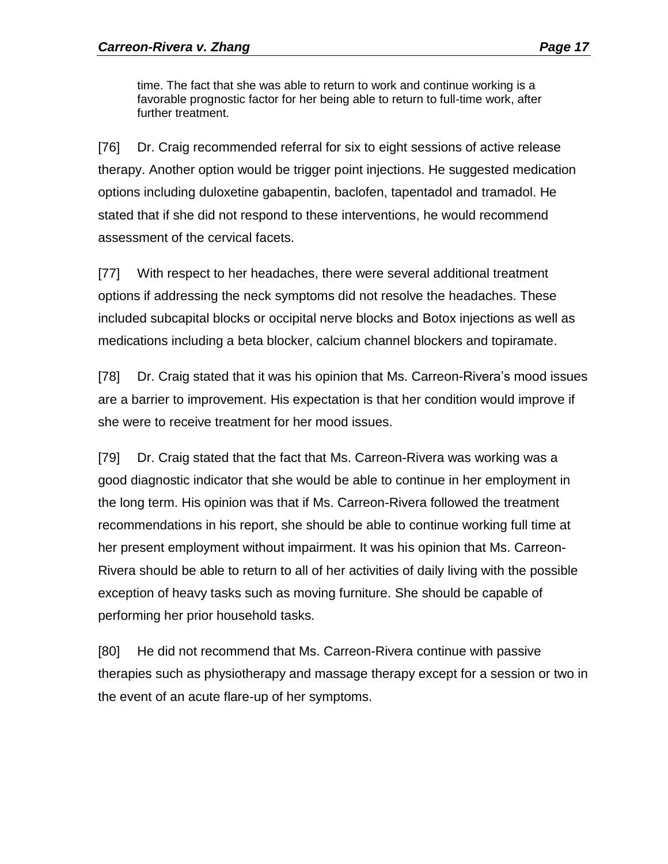time. The fact that she was able to return to work and continue working is a favorable prognostic factor for her being able to return to full-time work, after further treatment.

[76] Dr. Craig recommended referral for six to eight sessions of active release therapy. Another option would be trigger point injections. He suggested medication options including duloxetine gabapentin, baclofen, tapentadol and tramadol. He stated that if she did not respond to these interventions, he would recommend assessment of the cervical facets.

[77] With respect to her headaches, there were several additional treatment options if addressing the neck symptoms did not resolve the headaches. These included subcapital blocks or occipital nerve blocks and Botox injections as well as medications including a beta blocker, calcium channel blockers and topiramate.

[78] Dr. Craig stated that it was his opinion that Ms. Carreon-Rivera's mood issues are a barrier to improvement. His expectation is that her condition would improve if she were to receive treatment for her mood issues.

[79] Dr. Craig stated that the fact that Ms. Carreon-Rivera was working was a good diagnostic indicator that she would be able to continue in her employment in the long term. His opinion was that if Ms. Carreon-Rivera followed the treatment recommendations in his report, she should be able to continue working full time at her present employment without impairment. It was his opinion that Ms. Carreon-Rivera should be able to return to all of her activities of daily living with the possible exception of heavy tasks such as moving furniture. She should be capable of performing her prior household tasks.

[80] He did not recommend that Ms. Carreon-Rivera continue with passive therapies such as physiotherapy and massage therapy except for a session or two in the event of an acute flare-up of her symptoms.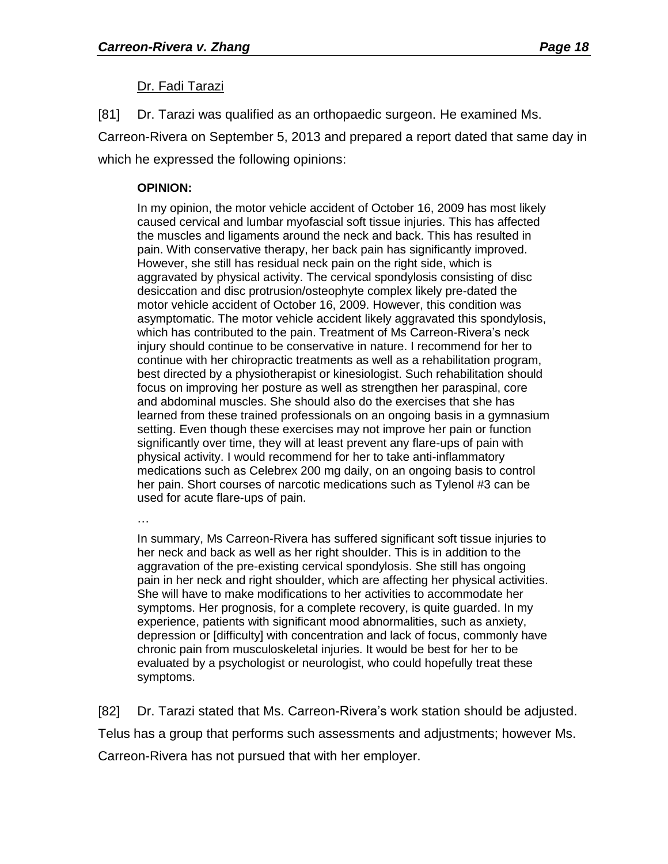#### Dr. Fadi Tarazi

[81] Dr. Tarazi was qualified as an orthopaedic surgeon. He examined Ms. Carreon-Rivera on September 5, 2013 and prepared a report dated that same day in which he expressed the following opinions:

#### **OPINION:**

In my opinion, the motor vehicle accident of October 16, 2009 has most likely caused cervical and lumbar myofascial soft tissue injuries. This has affected the muscles and ligaments around the neck and back. This has resulted in pain. With conservative therapy, her back pain has significantly improved. However, she still has residual neck pain on the right side, which is aggravated by physical activity. The cervical spondylosis consisting of disc desiccation and disc protrusion/osteophyte complex likely pre-dated the motor vehicle accident of October 16, 2009. However, this condition was asymptomatic. The motor vehicle accident likely aggravated this spondylosis, which has contributed to the pain. Treatment of Ms Carreon-Rivera's neck injury should continue to be conservative in nature. I recommend for her to continue with her chiropractic treatments as well as a rehabilitation program, best directed by a physiotherapist or kinesiologist. Such rehabilitation should focus on improving her posture as well as strengthen her paraspinal, core and abdominal muscles. She should also do the exercises that she has learned from these trained professionals on an ongoing basis in a gymnasium setting. Even though these exercises may not improve her pain or function significantly over time, they will at least prevent any flare-ups of pain with physical activity. I would recommend for her to take anti-inflammatory medications such as Celebrex 200 mg daily, on an ongoing basis to control her pain. Short courses of narcotic medications such as Tylenol #3 can be used for acute flare-ups of pain.

…

In summary, Ms Carreon-Rivera has suffered significant soft tissue injuries to her neck and back as well as her right shoulder. This is in addition to the aggravation of the pre-existing cervical spondylosis. She still has ongoing pain in her neck and right shoulder, which are affecting her physical activities. She will have to make modifications to her activities to accommodate her symptoms. Her prognosis, for a complete recovery, is quite guarded. In my experience, patients with significant mood abnormalities, such as anxiety, depression or [difficulty] with concentration and lack of focus, commonly have chronic pain from musculoskeletal injuries. It would be best for her to be evaluated by a psychologist or neurologist, who could hopefully treat these symptoms.

[82] Dr. Tarazi stated that Ms. Carreon-Rivera's work station should be adjusted. Telus has a group that performs such assessments and adjustments; however Ms. Carreon-Rivera has not pursued that with her employer.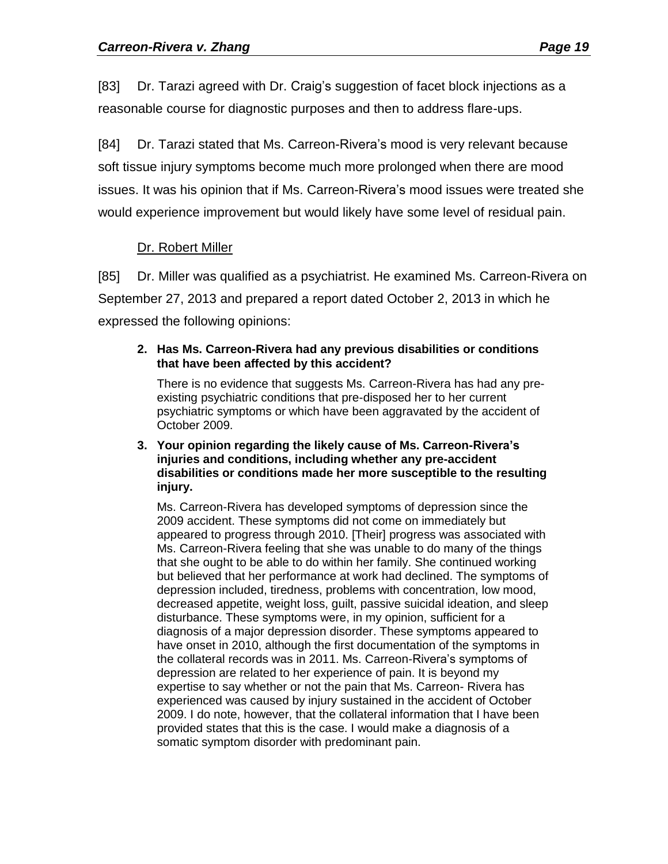[83] Dr. Tarazi agreed with Dr. Craig's suggestion of facet block injections as a reasonable course for diagnostic purposes and then to address flare-ups.

[84] Dr. Tarazi stated that Ms. Carreon-Rivera's mood is very relevant because soft tissue injury symptoms become much more prolonged when there are mood issues. It was his opinion that if Ms. Carreon-Rivera's mood issues were treated she would experience improvement but would likely have some level of residual pain.

### Dr. Robert Miller

[85] Dr. Miller was qualified as a psychiatrist. He examined Ms. Carreon-Rivera on September 27, 2013 and prepared a report dated October 2, 2013 in which he expressed the following opinions:

#### **2. Has Ms. Carreon-Rivera had any previous disabilities or conditions that have been affected by this accident?**

There is no evidence that suggests Ms. Carreon-Rivera has had any preexisting psychiatric conditions that pre-disposed her to her current psychiatric symptoms or which have been aggravated by the accident of October 2009.

**3. Your opinion regarding the likely cause of Ms. Carreon-Rivera's injuries and conditions, including whether any pre-accident disabilities or conditions made her more susceptible to the resulting injury.**

Ms. Carreon-Rivera has developed symptoms of depression since the 2009 accident. These symptoms did not come on immediately but appeared to progress through 2010. [Their] progress was associated with Ms. Carreon-Rivera feeling that she was unable to do many of the things that she ought to be able to do within her family. She continued working but believed that her performance at work had declined. The symptoms of depression included, tiredness, problems with concentration, low mood, decreased appetite, weight loss, guilt, passive suicidal ideation, and sleep disturbance. These symptoms were, in my opinion, sufficient for a diagnosis of a major depression disorder. These symptoms appeared to have onset in 2010, although the first documentation of the symptoms in the collateral records was in 2011. Ms. Carreon-Rivera's symptoms of depression are related to her experience of pain. It is beyond my expertise to say whether or not the pain that Ms. Carreon- Rivera has experienced was caused by injury sustained in the accident of October 2009. I do note, however, that the collateral information that I have been provided states that this is the case. I would make a diagnosis of a somatic symptom disorder with predominant pain.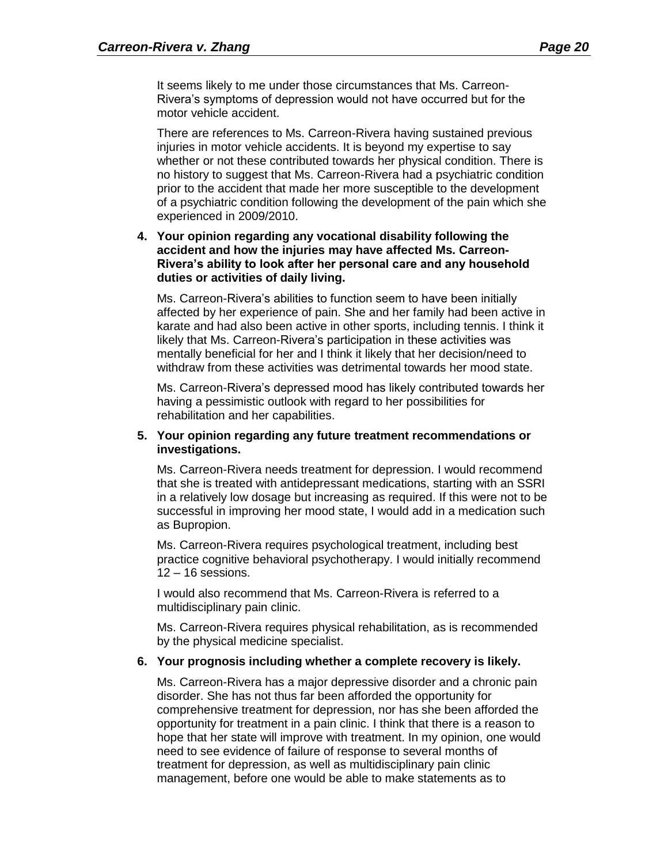It seems likely to me under those circumstances that Ms. Carreon-Rivera's symptoms of depression would not have occurred but for the motor vehicle accident.

There are references to Ms. Carreon-Rivera having sustained previous injuries in motor vehicle accidents. It is beyond my expertise to say whether or not these contributed towards her physical condition. There is no history to suggest that Ms. Carreon-Rivera had a psychiatric condition prior to the accident that made her more susceptible to the development of a psychiatric condition following the development of the pain which she experienced in 2009/2010.

#### **4. Your opinion regarding any vocational disability following the accident and how the injuries may have affected Ms. Carreon-Rivera's ability to look after her personal care and any household duties or activities of daily living.**

Ms. Carreon-Rivera's abilities to function seem to have been initially affected by her experience of pain. She and her family had been active in karate and had also been active in other sports, including tennis. I think it likely that Ms. Carreon-Rivera's participation in these activities was mentally beneficial for her and I think it likely that her decision/need to withdraw from these activities was detrimental towards her mood state.

Ms. Carreon-Rivera's depressed mood has likely contributed towards her having a pessimistic outlook with regard to her possibilities for rehabilitation and her capabilities.

#### **5. Your opinion regarding any future treatment recommendations or investigations.**

Ms. Carreon-Rivera needs treatment for depression. I would recommend that she is treated with antidepressant medications, starting with an SSRI in a relatively low dosage but increasing as required. If this were not to be successful in improving her mood state, I would add in a medication such as Bupropion.

Ms. Carreon-Rivera requires psychological treatment, including best practice cognitive behavioral psychotherapy. I would initially recommend 12 – 16 sessions.

I would also recommend that Ms. Carreon-Rivera is referred to a multidisciplinary pain clinic.

Ms. Carreon-Rivera requires physical rehabilitation, as is recommended by the physical medicine specialist.

#### **6. Your prognosis including whether a complete recovery is likely.**

Ms. Carreon-Rivera has a major depressive disorder and a chronic pain disorder. She has not thus far been afforded the opportunity for comprehensive treatment for depression, nor has she been afforded the opportunity for treatment in a pain clinic. I think that there is a reason to hope that her state will improve with treatment. In my opinion, one would need to see evidence of failure of response to several months of treatment for depression, as well as multidisciplinary pain clinic management, before one would be able to make statements as to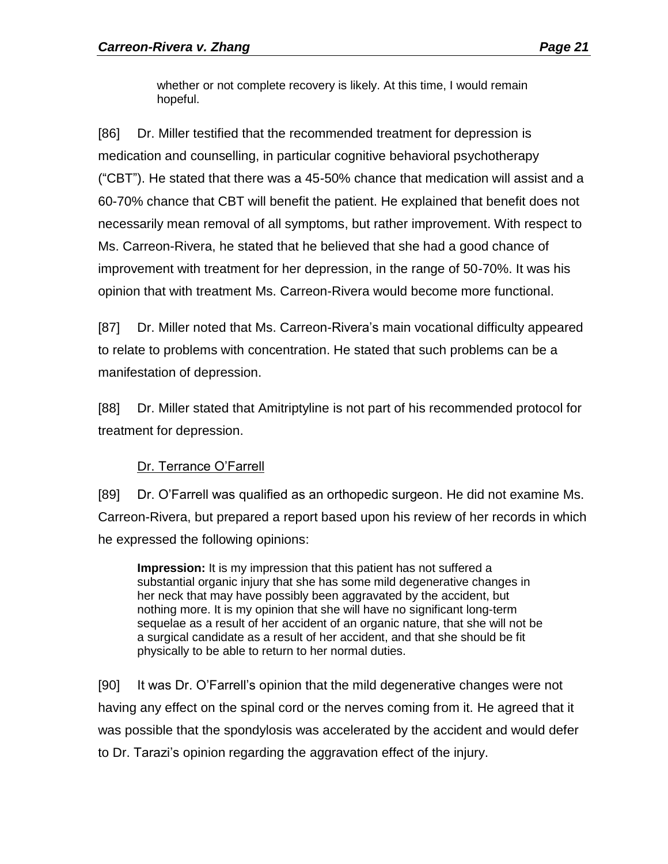whether or not complete recovery is likely. At this time, I would remain hopeful.

[86] Dr. Miller testified that the recommended treatment for depression is medication and counselling, in particular cognitive behavioral psychotherapy ("CBT"). He stated that there was a 45-50% chance that medication will assist and a 60-70% chance that CBT will benefit the patient. He explained that benefit does not necessarily mean removal of all symptoms, but rather improvement. With respect to Ms. Carreon-Rivera, he stated that he believed that she had a good chance of improvement with treatment for her depression, in the range of 50-70%. It was his opinion that with treatment Ms. Carreon-Rivera would become more functional.

[87] Dr. Miller noted that Ms. Carreon-Rivera's main vocational difficulty appeared to relate to problems with concentration. He stated that such problems can be a manifestation of depression.

[88] Dr. Miller stated that Amitriptyline is not part of his recommended protocol for treatment for depression.

### Dr. Terrance O'Farrell

[89] Dr. O'Farrell was qualified as an orthopedic surgeon. He did not examine Ms. Carreon-Rivera, but prepared a report based upon his review of her records in which he expressed the following opinions:

**Impression:** It is my impression that this patient has not suffered a substantial organic injury that she has some mild degenerative changes in her neck that may have possibly been aggravated by the accident, but nothing more. It is my opinion that she will have no significant long-term sequelae as a result of her accident of an organic nature, that she will not be a surgical candidate as a result of her accident, and that she should be fit physically to be able to return to her normal duties.

[90] It was Dr. O'Farrell's opinion that the mild degenerative changes were not having any effect on the spinal cord or the nerves coming from it. He agreed that it was possible that the spondylosis was accelerated by the accident and would defer to Dr. Tarazi's opinion regarding the aggravation effect of the injury.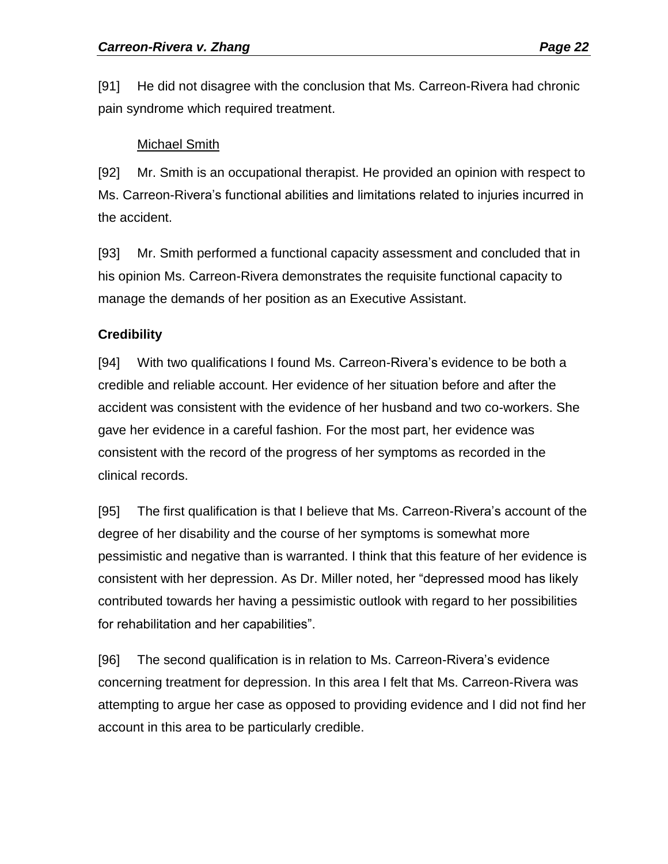[91] He did not disagree with the conclusion that Ms. Carreon-Rivera had chronic pain syndrome which required treatment.

#### Michael Smith

[92] Mr. Smith is an occupational therapist. He provided an opinion with respect to Ms. Carreon-Rivera's functional abilities and limitations related to injuries incurred in the accident.

[93] Mr. Smith performed a functional capacity assessment and concluded that in his opinion Ms. Carreon-Rivera demonstrates the requisite functional capacity to manage the demands of her position as an Executive Assistant.

### **Credibility**

[94] With two qualifications I found Ms. Carreon-Rivera's evidence to be both a credible and reliable account. Her evidence of her situation before and after the accident was consistent with the evidence of her husband and two co-workers. She gave her evidence in a careful fashion. For the most part, her evidence was consistent with the record of the progress of her symptoms as recorded in the clinical records.

[95] The first qualification is that I believe that Ms. Carreon-Rivera's account of the degree of her disability and the course of her symptoms is somewhat more pessimistic and negative than is warranted. I think that this feature of her evidence is consistent with her depression. As Dr. Miller noted, her "depressed mood has likely contributed towards her having a pessimistic outlook with regard to her possibilities for rehabilitation and her capabilities".

[96] The second qualification is in relation to Ms. Carreon-Rivera's evidence concerning treatment for depression. In this area I felt that Ms. Carreon-Rivera was attempting to argue her case as opposed to providing evidence and I did not find her account in this area to be particularly credible.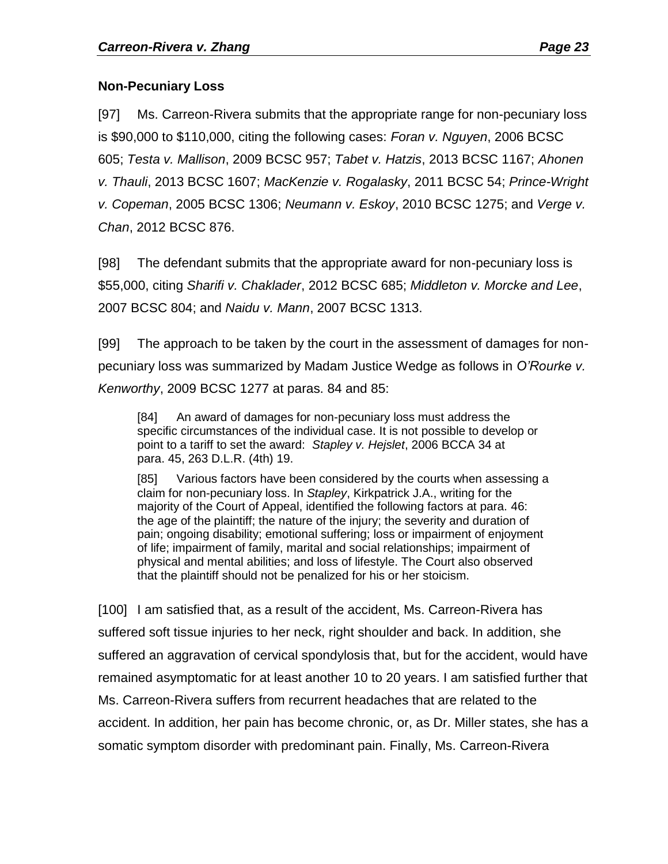### **Non-Pecuniary Loss**

[97] Ms. Carreon-Rivera submits that the appropriate range for non-pecuniary loss is \$90,000 to \$110,000, citing the following cases: *Foran v. Nguyen*, 2006 BCSC 605; *Testa v. Mallison*, 2009 BCSC 957; *Tabet v. Hatzis*, 2013 BCSC 1167; *Ahonen v. Thauli*, 2013 BCSC 1607; *MacKenzie v. Rogalasky*, 2011 BCSC 54; *Prince-Wright v. Copeman*, 2005 BCSC 1306; *Neumann v. Eskoy*, 2010 BCSC 1275; and *Verge v. Chan*, 2012 BCSC 876.

[98] The defendant submits that the appropriate award for non-pecuniary loss is \$55,000, citing *Sharifi v. Chaklader*, 2012 BCSC 685; *Middleton v. Morcke and Lee*, 2007 BCSC 804; and *Naidu v. Mann*, 2007 BCSC 1313.

[99] The approach to be taken by the court in the assessment of damages for nonpecuniary loss was summarized by Madam Justice Wedge as follows in *O'Rourke v. Kenworthy*, 2009 BCSC 1277 at paras. 84 and 85:

[84] An award of damages for non-pecuniary loss must address the specific circumstances of the individual case. It is not possible to develop or point to a tariff to set the award: *Stapley v. Hejslet*, 2006 BCCA 34 at para. 45, 263 D.L.R. (4th) 19.

[85] Various factors have been considered by the courts when assessing a claim for non-pecuniary loss. In *Stapley*, Kirkpatrick J.A., writing for the majority of the Court of Appeal, identified the following factors at para. 46: the age of the plaintiff; the nature of the injury; the severity and duration of pain; ongoing disability; emotional suffering; loss or impairment of enjoyment of life; impairment of family, marital and social relationships; impairment of physical and mental abilities; and loss of lifestyle. The Court also observed that the plaintiff should not be penalized for his or her stoicism.

[100] I am satisfied that, as a result of the accident, Ms. Carreon-Rivera has suffered soft tissue injuries to her neck, right shoulder and back. In addition, she suffered an aggravation of cervical spondylosis that, but for the accident, would have remained asymptomatic for at least another 10 to 20 years. I am satisfied further that Ms. Carreon-Rivera suffers from recurrent headaches that are related to the accident. In addition, her pain has become chronic, or, as Dr. Miller states, she has a somatic symptom disorder with predominant pain. Finally, Ms. Carreon-Rivera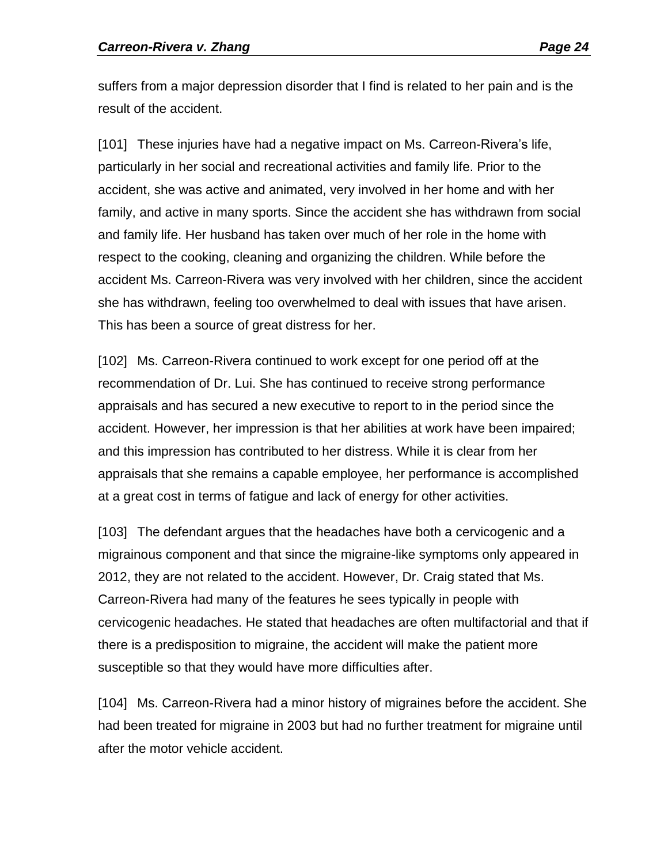suffers from a major depression disorder that I find is related to her pain and is the result of the accident.

[101] These injuries have had a negative impact on Ms. Carreon-Rivera's life, particularly in her social and recreational activities and family life. Prior to the accident, she was active and animated, very involved in her home and with her family, and active in many sports. Since the accident she has withdrawn from social and family life. Her husband has taken over much of her role in the home with respect to the cooking, cleaning and organizing the children. While before the accident Ms. Carreon-Rivera was very involved with her children, since the accident she has withdrawn, feeling too overwhelmed to deal with issues that have arisen. This has been a source of great distress for her.

[102] Ms. Carreon-Rivera continued to work except for one period off at the recommendation of Dr. Lui. She has continued to receive strong performance appraisals and has secured a new executive to report to in the period since the accident. However, her impression is that her abilities at work have been impaired; and this impression has contributed to her distress. While it is clear from her appraisals that she remains a capable employee, her performance is accomplished at a great cost in terms of fatigue and lack of energy for other activities.

[103] The defendant argues that the headaches have both a cervicogenic and a migrainous component and that since the migraine-like symptoms only appeared in 2012, they are not related to the accident. However, Dr. Craig stated that Ms. Carreon-Rivera had many of the features he sees typically in people with cervicogenic headaches. He stated that headaches are often multifactorial and that if there is a predisposition to migraine, the accident will make the patient more susceptible so that they would have more difficulties after.

[104] Ms. Carreon-Rivera had a minor history of migraines before the accident. She had been treated for migraine in 2003 but had no further treatment for migraine until after the motor vehicle accident.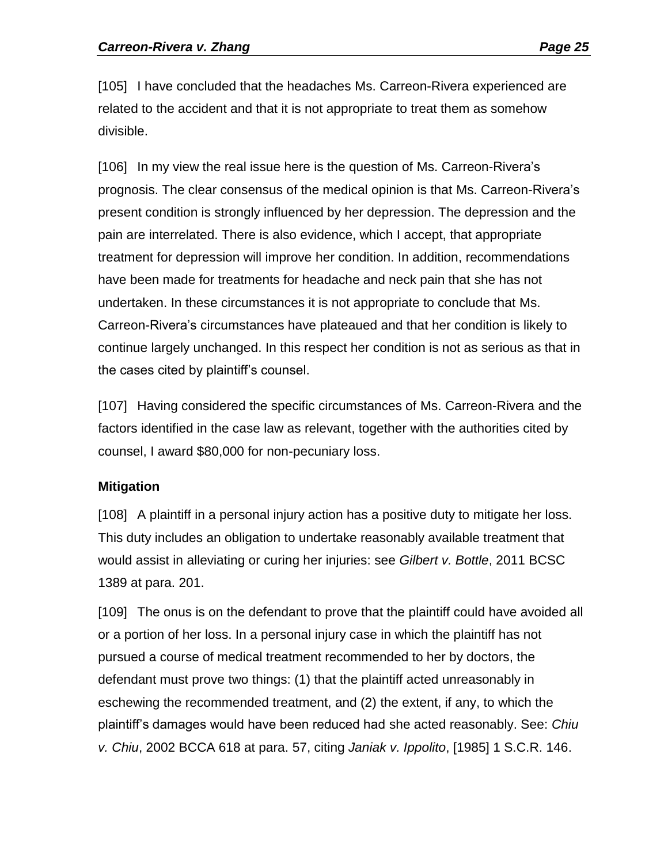[105] I have concluded that the headaches Ms. Carreon-Rivera experienced are related to the accident and that it is not appropriate to treat them as somehow divisible.

[106] In my view the real issue here is the question of Ms. Carreon-Rivera's prognosis. The clear consensus of the medical opinion is that Ms. Carreon-Rivera's present condition is strongly influenced by her depression. The depression and the pain are interrelated. There is also evidence, which I accept, that appropriate treatment for depression will improve her condition. In addition, recommendations have been made for treatments for headache and neck pain that she has not undertaken. In these circumstances it is not appropriate to conclude that Ms. Carreon-Rivera's circumstances have plateaued and that her condition is likely to continue largely unchanged. In this respect her condition is not as serious as that in the cases cited by plaintiff's counsel.

[107] Having considered the specific circumstances of Ms. Carreon-Rivera and the factors identified in the case law as relevant, together with the authorities cited by counsel, I award \$80,000 for non-pecuniary loss.

### **Mitigation**

[108] A plaintiff in a personal injury action has a positive duty to mitigate her loss. This duty includes an obligation to undertake reasonably available treatment that would assist in alleviating or curing her injuries: see *Gilbert v. Bottle*, 2011 BCSC 1389 at para. 201.

[109] The onus is on the defendant to prove that the plaintiff could have avoided all or a portion of her loss. In a personal injury case in which the plaintiff has not pursued a course of medical treatment recommended to her by doctors, the defendant must prove two things: (1) that the plaintiff acted unreasonably in eschewing the recommended treatment, and (2) the extent, if any, to which the plaintiff's damages would have been reduced had she acted reasonably. See: *Chiu v. Chiu*, 2002 BCCA 618 at para. 57, citing *Janiak v. Ippolito*, [1985] 1 S.C.R. 146.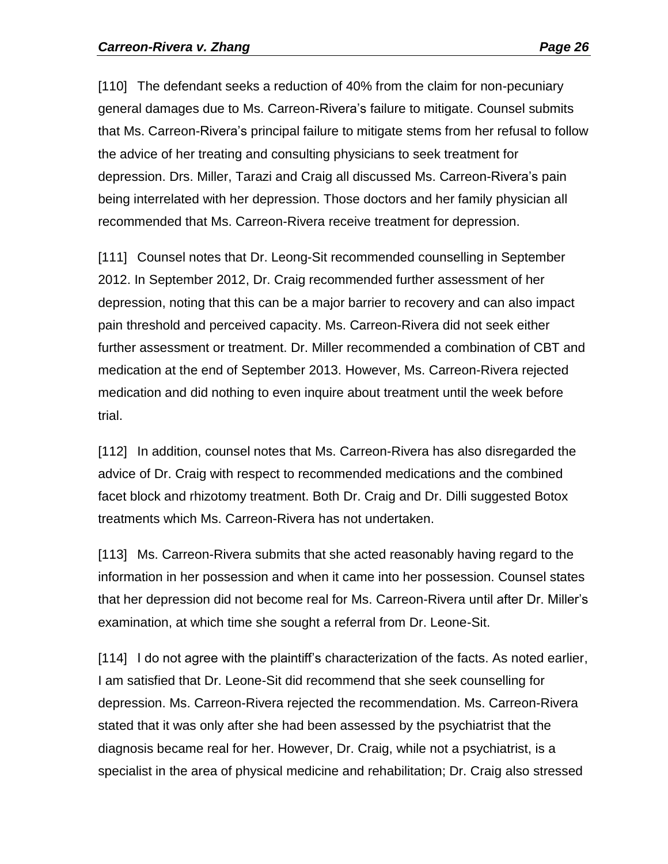[110] The defendant seeks a reduction of 40% from the claim for non-pecuniary general damages due to Ms. Carreon-Rivera's failure to mitigate. Counsel submits that Ms. Carreon-Rivera's principal failure to mitigate stems from her refusal to follow the advice of her treating and consulting physicians to seek treatment for depression. Drs. Miller, Tarazi and Craig all discussed Ms. Carreon-Rivera's pain being interrelated with her depression. Those doctors and her family physician all recommended that Ms. Carreon-Rivera receive treatment for depression.

[111] Counsel notes that Dr. Leong-Sit recommended counselling in September 2012. In September 2012, Dr. Craig recommended further assessment of her depression, noting that this can be a major barrier to recovery and can also impact pain threshold and perceived capacity. Ms. Carreon-Rivera did not seek either further assessment or treatment. Dr. Miller recommended a combination of CBT and medication at the end of September 2013. However, Ms. Carreon-Rivera rejected medication and did nothing to even inquire about treatment until the week before trial.

[112] In addition, counsel notes that Ms. Carreon-Rivera has also disregarded the advice of Dr. Craig with respect to recommended medications and the combined facet block and rhizotomy treatment. Both Dr. Craig and Dr. Dilli suggested Botox treatments which Ms. Carreon-Rivera has not undertaken.

[113] Ms. Carreon-Rivera submits that she acted reasonably having regard to the information in her possession and when it came into her possession. Counsel states that her depression did not become real for Ms. Carreon-Rivera until after Dr. Miller's examination, at which time she sought a referral from Dr. Leone-Sit.

[114] I do not agree with the plaintiff's characterization of the facts. As noted earlier, I am satisfied that Dr. Leone-Sit did recommend that she seek counselling for depression. Ms. Carreon-Rivera rejected the recommendation. Ms. Carreon-Rivera stated that it was only after she had been assessed by the psychiatrist that the diagnosis became real for her. However, Dr. Craig, while not a psychiatrist, is a specialist in the area of physical medicine and rehabilitation; Dr. Craig also stressed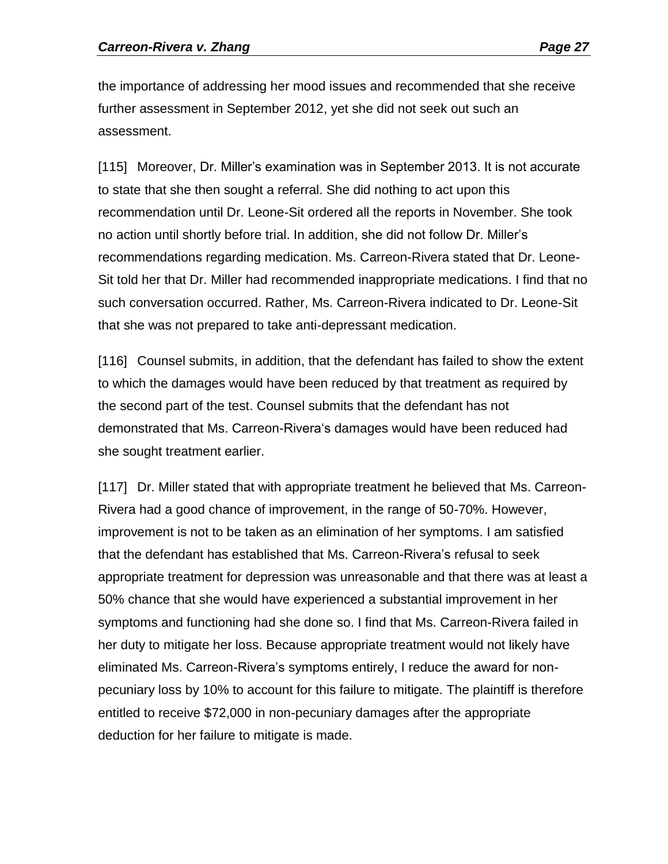the importance of addressing her mood issues and recommended that she receive further assessment in September 2012, yet she did not seek out such an assessment.

[115] Moreover, Dr. Miller's examination was in September 2013. It is not accurate to state that she then sought a referral. She did nothing to act upon this recommendation until Dr. Leone-Sit ordered all the reports in November. She took no action until shortly before trial. In addition, she did not follow Dr. Miller's recommendations regarding medication. Ms. Carreon-Rivera stated that Dr. Leone-Sit told her that Dr. Miller had recommended inappropriate medications. I find that no such conversation occurred. Rather, Ms. Carreon-Rivera indicated to Dr. Leone-Sit that she was not prepared to take anti-depressant medication.

[116] Counsel submits, in addition, that the defendant has failed to show the extent to which the damages would have been reduced by that treatment as required by the second part of the test. Counsel submits that the defendant has not demonstrated that Ms. Carreon-Rivera's damages would have been reduced had she sought treatment earlier.

[117] Dr. Miller stated that with appropriate treatment he believed that Ms. Carreon-Rivera had a good chance of improvement, in the range of 50-70%. However, improvement is not to be taken as an elimination of her symptoms. I am satisfied that the defendant has established that Ms. Carreon-Rivera's refusal to seek appropriate treatment for depression was unreasonable and that there was at least a 50% chance that she would have experienced a substantial improvement in her symptoms and functioning had she done so. I find that Ms. Carreon-Rivera failed in her duty to mitigate her loss. Because appropriate treatment would not likely have eliminated Ms. Carreon-Rivera's symptoms entirely, I reduce the award for nonpecuniary loss by 10% to account for this failure to mitigate. The plaintiff is therefore entitled to receive \$72,000 in non-pecuniary damages after the appropriate deduction for her failure to mitigate is made.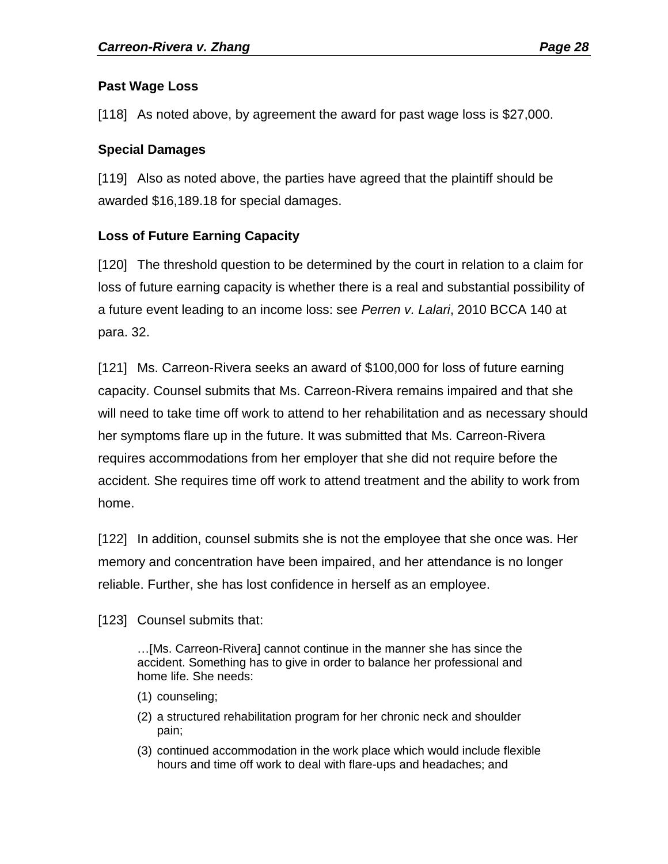### **Past Wage Loss**

[118] As noted above, by agreement the award for past wage loss is \$27,000.

## **Special Damages**

[119] Also as noted above, the parties have agreed that the plaintiff should be awarded \$16,189.18 for special damages.

# **Loss of Future Earning Capacity**

[120] The threshold question to be determined by the court in relation to a claim for loss of future earning capacity is whether there is a real and substantial possibility of a future event leading to an income loss: see *Perren v. Lalari*, 2010 BCCA 140 at para. 32.

[121] Ms. Carreon-Rivera seeks an award of \$100,000 for loss of future earning capacity. Counsel submits that Ms. Carreon-Rivera remains impaired and that she will need to take time off work to attend to her rehabilitation and as necessary should her symptoms flare up in the future. It was submitted that Ms. Carreon-Rivera requires accommodations from her employer that she did not require before the accident. She requires time off work to attend treatment and the ability to work from home.

[122] In addition, counsel submits she is not the employee that she once was. Her memory and concentration have been impaired, and her attendance is no longer reliable. Further, she has lost confidence in herself as an employee.

[123] Counsel submits that:

…[Ms. Carreon-Rivera] cannot continue in the manner she has since the accident. Something has to give in order to balance her professional and home life. She needs:

- (1) counseling;
- (2) a structured rehabilitation program for her chronic neck and shoulder pain;
- (3) continued accommodation in the work place which would include flexible hours and time off work to deal with flare-ups and headaches; and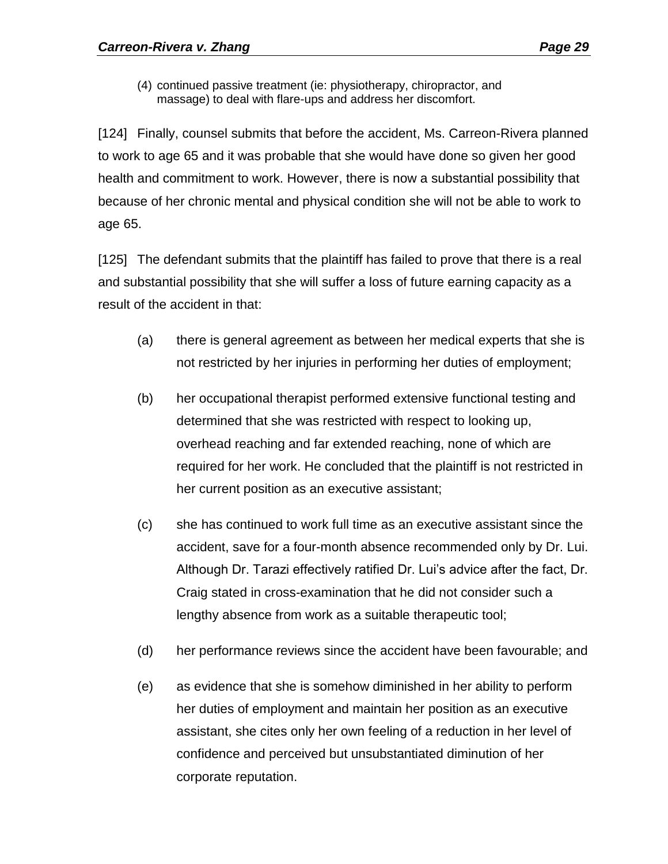(4) continued passive treatment (ie: physiotherapy, chiropractor, and massage) to deal with flare-ups and address her discomfort.

[124] Finally, counsel submits that before the accident, Ms. Carreon-Rivera planned to work to age 65 and it was probable that she would have done so given her good health and commitment to work. However, there is now a substantial possibility that because of her chronic mental and physical condition she will not be able to work to age 65.

[125] The defendant submits that the plaintiff has failed to prove that there is a real and substantial possibility that she will suffer a loss of future earning capacity as a result of the accident in that:

- (a) there is general agreement as between her medical experts that she is not restricted by her injuries in performing her duties of employment;
- (b) her occupational therapist performed extensive functional testing and determined that she was restricted with respect to looking up, overhead reaching and far extended reaching, none of which are required for her work. He concluded that the plaintiff is not restricted in her current position as an executive assistant;
- (c) she has continued to work full time as an executive assistant since the accident, save for a four-month absence recommended only by Dr. Lui. Although Dr. Tarazi effectively ratified Dr. Lui's advice after the fact, Dr. Craig stated in cross-examination that he did not consider such a lengthy absence from work as a suitable therapeutic tool;
- (d) her performance reviews since the accident have been favourable; and
- (e) as evidence that she is somehow diminished in her ability to perform her duties of employment and maintain her position as an executive assistant, she cites only her own feeling of a reduction in her level of confidence and perceived but unsubstantiated diminution of her corporate reputation.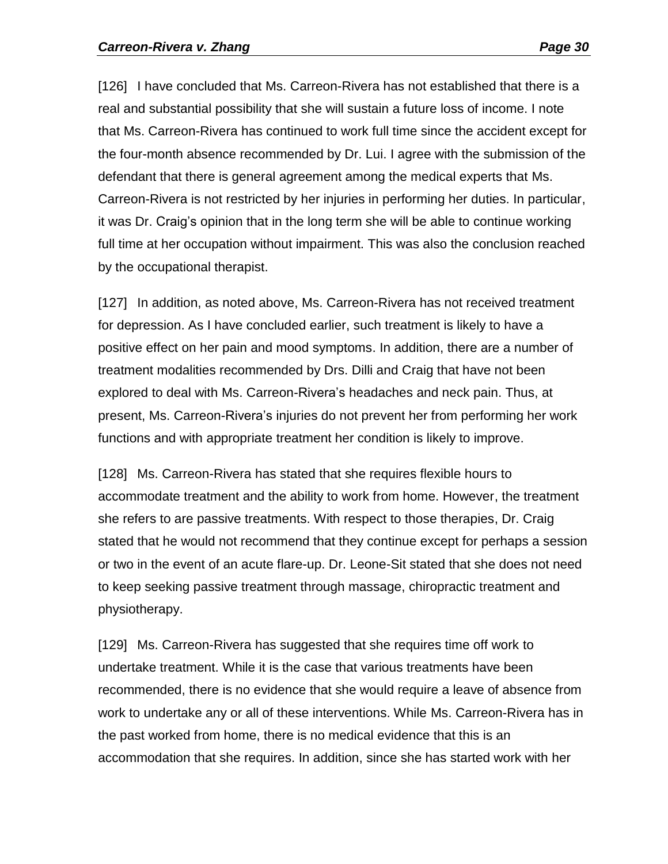[126] I have concluded that Ms. Carreon-Rivera has not established that there is a real and substantial possibility that she will sustain a future loss of income. I note that Ms. Carreon-Rivera has continued to work full time since the accident except for the four-month absence recommended by Dr. Lui. I agree with the submission of the defendant that there is general agreement among the medical experts that Ms. Carreon-Rivera is not restricted by her injuries in performing her duties. In particular, it was Dr. Craig's opinion that in the long term she will be able to continue working full time at her occupation without impairment. This was also the conclusion reached by the occupational therapist.

[127] In addition, as noted above, Ms. Carreon-Rivera has not received treatment for depression. As I have concluded earlier, such treatment is likely to have a positive effect on her pain and mood symptoms. In addition, there are a number of treatment modalities recommended by Drs. Dilli and Craig that have not been explored to deal with Ms. Carreon-Rivera's headaches and neck pain. Thus, at present, Ms. Carreon-Rivera's injuries do not prevent her from performing her work functions and with appropriate treatment her condition is likely to improve.

[128] Ms. Carreon-Rivera has stated that she requires flexible hours to accommodate treatment and the ability to work from home. However, the treatment she refers to are passive treatments. With respect to those therapies, Dr. Craig stated that he would not recommend that they continue except for perhaps a session or two in the event of an acute flare-up. Dr. Leone-Sit stated that she does not need to keep seeking passive treatment through massage, chiropractic treatment and physiotherapy.

[129] Ms. Carreon-Rivera has suggested that she requires time off work to undertake treatment. While it is the case that various treatments have been recommended, there is no evidence that she would require a leave of absence from work to undertake any or all of these interventions. While Ms. Carreon-Rivera has in the past worked from home, there is no medical evidence that this is an accommodation that she requires. In addition, since she has started work with her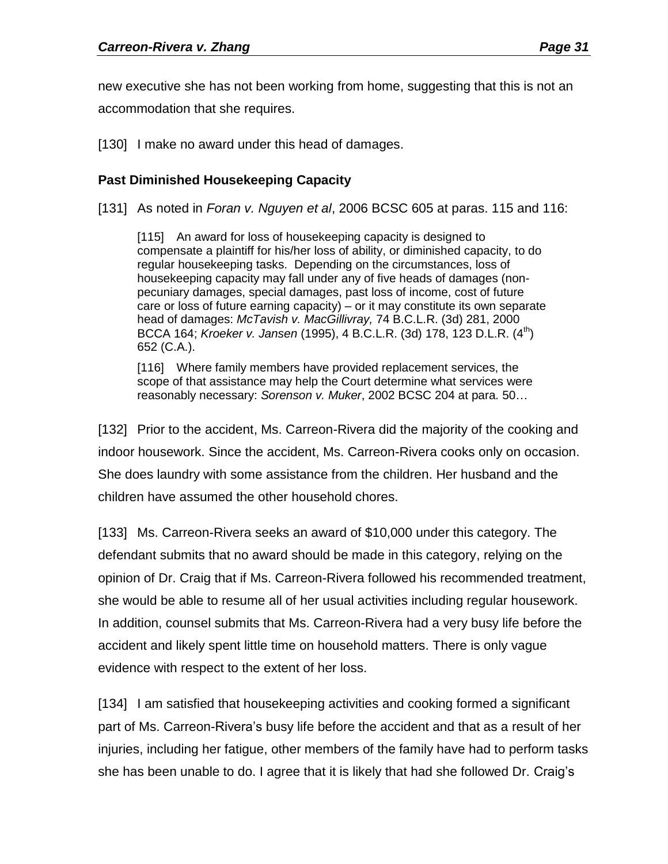new executive she has not been working from home, suggesting that this is not an accommodation that she requires.

[130] I make no award under this head of damages.

# **Past Diminished Housekeeping Capacity**

[131] As noted in *Foran v. Nguyen et al*, 2006 BCSC 605 at paras. 115 and 116:

[115] An award for loss of housekeeping capacity is designed to compensate a plaintiff for his/her loss of ability, or diminished capacity, to do regular housekeeping tasks. Depending on the circumstances, loss of housekeeping capacity may fall under any of five heads of damages (nonpecuniary damages, special damages, past loss of income, cost of future care or loss of future earning capacity) – or it may constitute its own separate head of damages: *McTavish v. MacGillivray,* 74 B.C.L.R. (3d) 281, 2000 BCCA 164; *Kroeker v. Jansen* (1995), 4 B.C.L.R. (3d) 178, 123 D.L.R. (4<sup>m</sup>) 652 (C.A.).

[116] Where family members have provided replacement services, the scope of that assistance may help the Court determine what services were reasonably necessary: *Sorenson v. Muker*, 2002 BCSC 204 at para. 50…

[132] Prior to the accident, Ms. Carreon-Rivera did the majority of the cooking and indoor housework. Since the accident, Ms. Carreon-Rivera cooks only on occasion. She does laundry with some assistance from the children. Her husband and the children have assumed the other household chores.

[133] Ms. Carreon-Rivera seeks an award of \$10,000 under this category. The defendant submits that no award should be made in this category, relying on the opinion of Dr. Craig that if Ms. Carreon-Rivera followed his recommended treatment, she would be able to resume all of her usual activities including regular housework. In addition, counsel submits that Ms. Carreon-Rivera had a very busy life before the accident and likely spent little time on household matters. There is only vague evidence with respect to the extent of her loss.

[134] I am satisfied that housekeeping activities and cooking formed a significant part of Ms. Carreon-Rivera's busy life before the accident and that as a result of her injuries, including her fatigue, other members of the family have had to perform tasks she has been unable to do. I agree that it is likely that had she followed Dr. Craig's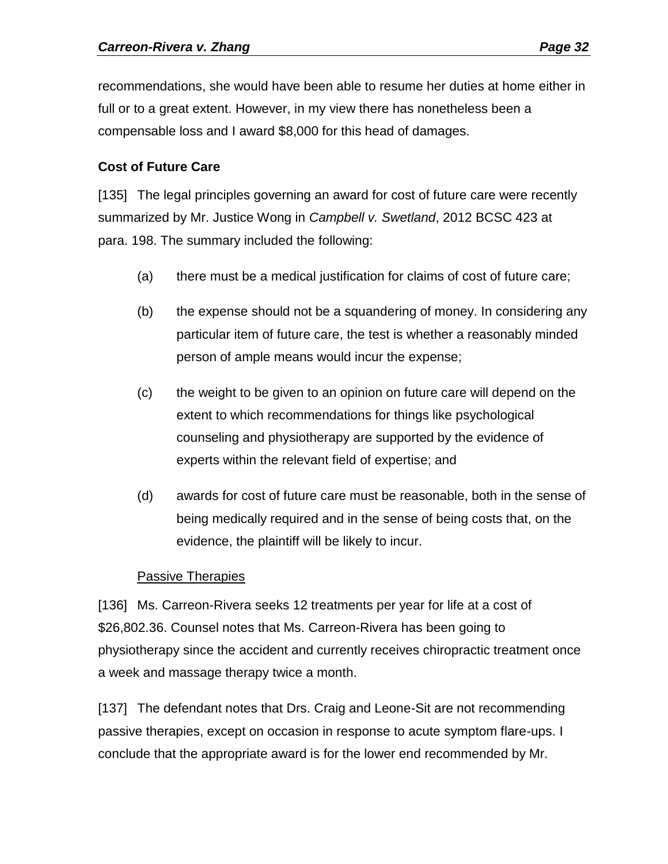recommendations, she would have been able to resume her duties at home either in full or to a great extent. However, in my view there has nonetheless been a compensable loss and I award \$8,000 for this head of damages.

### **Cost of Future Care**

[135] The legal principles governing an award for cost of future care were recently summarized by Mr. Justice Wong in *Campbell v. Swetland*, 2012 BCSC 423 at para. 198. The summary included the following:

- (a) there must be a medical justification for claims of cost of future care;
- (b) the expense should not be a squandering of money. In considering any particular item of future care, the test is whether a reasonably minded person of ample means would incur the expense;
- (c) the weight to be given to an opinion on future care will depend on the extent to which recommendations for things like psychological counseling and physiotherapy are supported by the evidence of experts within the relevant field of expertise; and
- (d) awards for cost of future care must be reasonable, both in the sense of being medically required and in the sense of being costs that, on the evidence, the plaintiff will be likely to incur.

### Passive Therapies

[136] Ms. Carreon-Rivera seeks 12 treatments per year for life at a cost of \$26,802.36. Counsel notes that Ms. Carreon-Rivera has been going to physiotherapy since the accident and currently receives chiropractic treatment once a week and massage therapy twice a month.

[137] The defendant notes that Drs. Craig and Leone-Sit are not recommending passive therapies, except on occasion in response to acute symptom flare-ups. I conclude that the appropriate award is for the lower end recommended by Mr.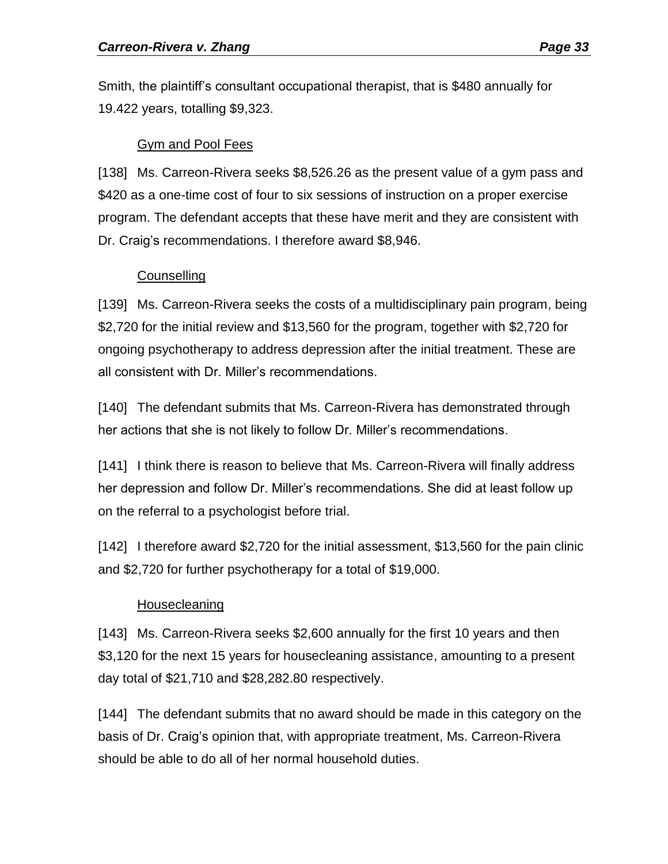Smith, the plaintiff's consultant occupational therapist, that is \$480 annually for 19.422 years, totalling \$9,323.

#### Gym and Pool Fees

[138] Ms. Carreon-Rivera seeks \$8,526.26 as the present value of a gym pass and \$420 as a one-time cost of four to six sessions of instruction on a proper exercise program. The defendant accepts that these have merit and they are consistent with Dr. Craig's recommendations. I therefore award \$8,946.

### **Counselling**

[139] Ms. Carreon-Rivera seeks the costs of a multidisciplinary pain program, being \$2,720 for the initial review and \$13,560 for the program, together with \$2,720 for ongoing psychotherapy to address depression after the initial treatment. These are all consistent with Dr. Miller's recommendations.

[140] The defendant submits that Ms. Carreon-Rivera has demonstrated through her actions that she is not likely to follow Dr. Miller's recommendations.

[141] I think there is reason to believe that Ms. Carreon-Rivera will finally address her depression and follow Dr. Miller's recommendations. She did at least follow up on the referral to a psychologist before trial.

[142] I therefore award \$2,720 for the initial assessment, \$13,560 for the pain clinic and \$2,720 for further psychotherapy for a total of \$19,000.

### **Housecleaning**

[143] Ms. Carreon-Rivera seeks \$2,600 annually for the first 10 years and then \$3,120 for the next 15 years for housecleaning assistance, amounting to a present day total of \$21,710 and \$28,282.80 respectively.

[144] The defendant submits that no award should be made in this category on the basis of Dr. Craig's opinion that, with appropriate treatment, Ms. Carreon-Rivera should be able to do all of her normal household duties.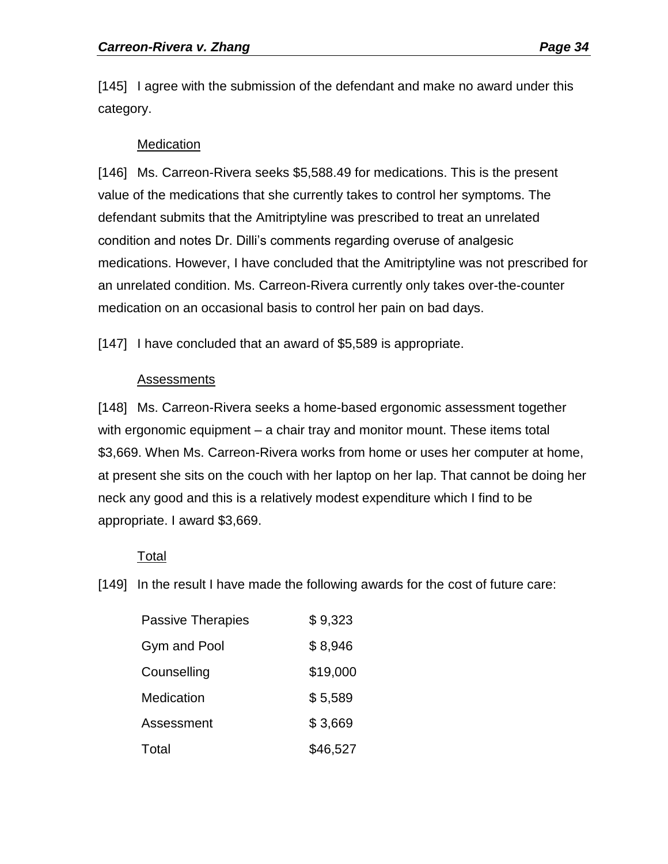[145] I agree with the submission of the defendant and make no award under this category.

#### **Medication**

[146] Ms. Carreon-Rivera seeks \$5,588.49 for medications. This is the present value of the medications that she currently takes to control her symptoms. The defendant submits that the Amitriptyline was prescribed to treat an unrelated condition and notes Dr. Dilli's comments regarding overuse of analgesic medications. However, I have concluded that the Amitriptyline was not prescribed for an unrelated condition. Ms. Carreon-Rivera currently only takes over-the-counter medication on an occasional basis to control her pain on bad days.

[147] I have concluded that an award of \$5,589 is appropriate.

#### Assessments

[148] Ms. Carreon-Rivera seeks a home-based ergonomic assessment together with ergonomic equipment – a chair tray and monitor mount. These items total \$3,669. When Ms. Carreon-Rivera works from home or uses her computer at home, at present she sits on the couch with her laptop on her lap. That cannot be doing her neck any good and this is a relatively modest expenditure which I find to be appropriate. I award \$3,669.

### Total

[149] In the result I have made the following awards for the cost of future care:

| <b>Passive Therapies</b> | \$9,323  |
|--------------------------|----------|
| Gym and Pool             | \$8,946  |
| Counselling              | \$19,000 |
| Medication               | \$5,589  |
| Assessment               | \$3,669  |
| Total                    | \$46,527 |